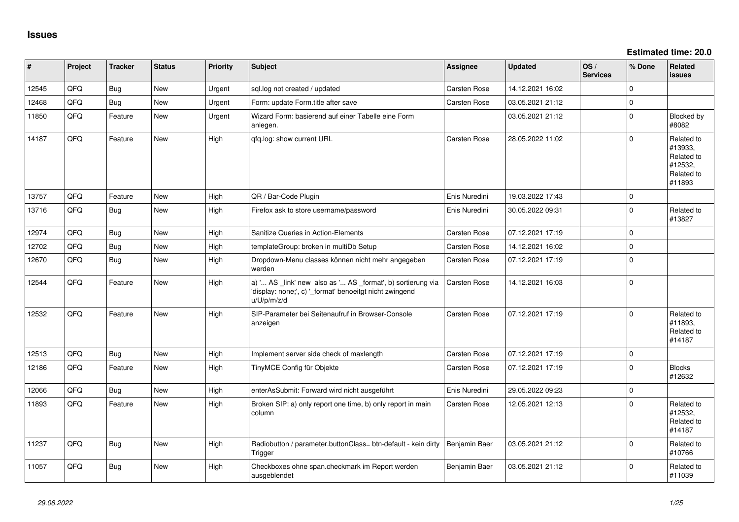**Estimated time: 20.0**

| $\vert$ # | Project | <b>Tracker</b> | <b>Status</b> | <b>Priority</b> | <b>Subject</b>                                                                                                                        | <b>Assignee</b>     | <b>Updated</b>   | OS/<br><b>Services</b> | % Done      | Related<br>issues                                                      |
|-----------|---------|----------------|---------------|-----------------|---------------------------------------------------------------------------------------------------------------------------------------|---------------------|------------------|------------------------|-------------|------------------------------------------------------------------------|
| 12545     | QFQ     | <b>Bug</b>     | New           | Urgent          | sql.log not created / updated                                                                                                         | Carsten Rose        | 14.12.2021 16:02 |                        | $\Omega$    |                                                                        |
| 12468     | QFQ     | <b>Bug</b>     | <b>New</b>    | Urgent          | Form: update Form.title after save                                                                                                    | Carsten Rose        | 03.05.2021 21:12 |                        | $\Omega$    |                                                                        |
| 11850     | QFQ     | Feature        | <b>New</b>    | Urgent          | Wizard Form: basierend auf einer Tabelle eine Form<br>anlegen.                                                                        |                     | 03.05.2021 21:12 |                        | $\Omega$    | Blocked by<br>#8082                                                    |
| 14187     | QFQ     | Feature        | <b>New</b>    | High            | qfq.log: show current URL                                                                                                             | Carsten Rose        | 28.05.2022 11:02 |                        | $\Omega$    | Related to<br>#13933,<br>Related to<br>#12532,<br>Related to<br>#11893 |
| 13757     | QFQ     | Feature        | <b>New</b>    | High            | QR / Bar-Code Plugin                                                                                                                  | Enis Nuredini       | 19.03.2022 17:43 |                        | $\mathbf 0$ |                                                                        |
| 13716     | QFQ     | Bug            | <b>New</b>    | High            | Firefox ask to store username/password                                                                                                | Enis Nuredini       | 30.05.2022 09:31 |                        | $\mathbf 0$ | Related to<br>#13827                                                   |
| 12974     | QFQ     | Bug            | New           | High            | Sanitize Queries in Action-Elements                                                                                                   | Carsten Rose        | 07.12.2021 17:19 |                        | $\mathbf 0$ |                                                                        |
| 12702     | QFQ     | Bug            | <b>New</b>    | High            | templateGroup: broken in multiDb Setup                                                                                                | Carsten Rose        | 14.12.2021 16:02 |                        | $\mathbf 0$ |                                                                        |
| 12670     | QFQ     | <b>Bug</b>     | New           | High            | Dropdown-Menu classes können nicht mehr angegeben<br>werden                                                                           | Carsten Rose        | 07.12.2021 17:19 |                        | $\mathbf 0$ |                                                                        |
| 12544     | QFQ     | Feature        | <b>New</b>    | High            | a) ' AS _link' new also as ' AS _format', b) sortierung via<br>'display: none;', c) '_format' benoeitgt nicht zwingend<br>u/U/p/m/z/d | Carsten Rose        | 14.12.2021 16:03 |                        | $\mathbf 0$ |                                                                        |
| 12532     | QFQ     | Feature        | <b>New</b>    | High            | SIP-Parameter bei Seitenaufruf in Browser-Console<br>anzeigen                                                                         | Carsten Rose        | 07.12.2021 17:19 |                        | $\Omega$    | Related to<br>#11893,<br>Related to<br>#14187                          |
| 12513     | QFQ     | <b>Bug</b>     | New           | High            | Implement server side check of maxlength                                                                                              | Carsten Rose        | 07.12.2021 17:19 |                        | $\mathbf 0$ |                                                                        |
| 12186     | QFQ     | Feature        | <b>New</b>    | High            | TinyMCE Config für Objekte                                                                                                            | Carsten Rose        | 07.12.2021 17:19 |                        | $\Omega$    | <b>Blocks</b><br>#12632                                                |
| 12066     | QFQ     | <b>Bug</b>     | <b>New</b>    | High            | enterAsSubmit: Forward wird nicht ausgeführt                                                                                          | Enis Nuredini       | 29.05.2022 09:23 |                        | $\Omega$    |                                                                        |
| 11893     | QFQ     | Feature        | <b>New</b>    | High            | Broken SIP: a) only report one time, b) only report in main<br>column                                                                 | <b>Carsten Rose</b> | 12.05.2021 12:13 |                        | $\Omega$    | Related to<br>#12532.<br>Related to<br>#14187                          |
| 11237     | QFQ     | Bug            | <b>New</b>    | High            | Radiobutton / parameter.buttonClass= btn-default - kein dirty<br>Trigger                                                              | Benjamin Baer       | 03.05.2021 21:12 |                        | $\Omega$    | Related to<br>#10766                                                   |
| 11057     | QFQ     | <b>Bug</b>     | <b>New</b>    | High            | Checkboxes ohne span.checkmark im Report werden<br>ausgeblendet                                                                       | Benjamin Baer       | 03.05.2021 21:12 |                        | $\Omega$    | Related to<br>#11039                                                   |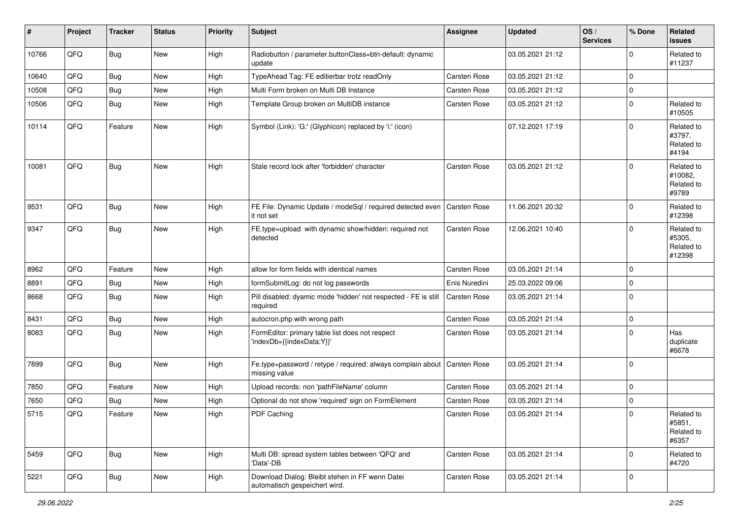| #     | Project | <b>Tracker</b> | <b>Status</b> | <b>Priority</b> | <b>Subject</b>                                                                   | Assignee            | <b>Updated</b>   | OS/<br><b>Services</b> | % Done      | Related<br>issues                            |
|-------|---------|----------------|---------------|-----------------|----------------------------------------------------------------------------------|---------------------|------------------|------------------------|-------------|----------------------------------------------|
| 10766 | QFQ     | Bug            | New           | High            | Radiobutton / parameter.buttonClass=btn-default: dynamic<br>update               |                     | 03.05.2021 21:12 |                        | $\Omega$    | Related to<br>#11237                         |
| 10640 | QFQ     | <b>Bug</b>     | <b>New</b>    | High            | TypeAhead Tag: FE editierbar trotz readOnly                                      | <b>Carsten Rose</b> | 03.05.2021 21:12 |                        | $\Omega$    |                                              |
| 10508 | QFQ     | <b>Bug</b>     | New           | High            | Multi Form broken on Multi DB Instance                                           | <b>Carsten Rose</b> | 03.05.2021 21:12 |                        | $\Omega$    |                                              |
| 10506 | QFQ     | Bug            | <b>New</b>    | High            | Template Group broken on MultiDB instance                                        | Carsten Rose        | 03.05.2021 21:12 |                        | $\Omega$    | Related to<br>#10505                         |
| 10114 | QFQ     | Feature        | New           | High            | Symbol (Link): 'G:' (Glyphicon) replaced by 'i:' (icon)                          |                     | 07.12.2021 17:19 |                        | $\Omega$    | Related to<br>#3797,<br>Related to<br>#4194  |
| 10081 | QFQ     | Bug            | <b>New</b>    | High            | Stale record lock after 'forbidden' character                                    | Carsten Rose        | 03.05.2021 21:12 |                        | $\Omega$    | Related to<br>#10082,<br>Related to<br>#9789 |
| 9531  | QFQ     | Bug            | <b>New</b>    | High            | FE File: Dynamic Update / modeSql / required detected even<br>it not set         | Carsten Rose        | 11.06.2021 20:32 |                        | $\Omega$    | Related to<br>#12398                         |
| 9347  | QFQ     | Bug            | New           | High            | FE.type=upload with dynamic show/hidden: required not<br>detected                | Carsten Rose        | 12.06.2021 10:40 |                        | $\Omega$    | Related to<br>#5305,<br>Related to<br>#12398 |
| 8962  | QFQ     | Feature        | <b>New</b>    | High            | allow for form fields with identical names                                       | <b>Carsten Rose</b> | 03.05.2021 21:14 |                        | $\Omega$    |                                              |
| 8891  | QFQ     | Bug            | New           | High            | formSubmitLog: do not log passwords                                              | Enis Nuredini       | 25.03.2022 09:06 |                        | $\Omega$    |                                              |
| 8668  | QFQ     | Bug            | New           | High            | Pill disabled: dyamic mode 'hidden' not respected - FE is still<br>required      | Carsten Rose        | 03.05.2021 21:14 |                        | $\Omega$    |                                              |
| 8431  | QFQ     | Bug            | <b>New</b>    | High            | autocron.php with wrong path                                                     | Carsten Rose        | 03.05.2021 21:14 |                        | $\mathbf 0$ |                                              |
| 8083  | QFQ     | Bug            | <b>New</b>    | High            | FormEditor: primary table list does not respect<br>'indexDb={{indexData:Y}}'     | <b>Carsten Rose</b> | 03.05.2021 21:14 |                        | $\Omega$    | Has<br>duplicate<br>#6678                    |
| 7899  | QFQ     | <b>Bug</b>     | New           | High            | Fe.type=password / retype / required: always complain about<br>missing value     | Carsten Rose        | 03.05.2021 21:14 |                        | $\Omega$    |                                              |
| 7850  | QFQ     | Feature        | New           | High            | Upload records: non 'pathFileName' column                                        | <b>Carsten Rose</b> | 03.05.2021 21:14 |                        | $\Omega$    |                                              |
| 7650  | QFQ     | Bug            | New           | High            | Optional do not show 'required' sign on FormElement                              | Carsten Rose        | 03.05.2021 21:14 |                        | $\mathbf 0$ |                                              |
| 5715  | QFQ     | Feature        | New           | High            | PDF Caching                                                                      | <b>Carsten Rose</b> | 03.05.2021 21:14 |                        | $\mathbf 0$ | Related to<br>#5851,<br>Related to<br>#6357  |
| 5459  | QFQ     | Bug            | New           | High            | Multi DB: spread system tables between 'QFQ' and<br>'Data'-DB                    | <b>Carsten Rose</b> | 03.05.2021 21:14 |                        | $\mathbf 0$ | Related to<br>#4720                          |
| 5221  | QFQ     | Bug            | New           | High            | Download Dialog: Bleibt stehen in FF wenn Datei<br>automatisch gespeichert wird. | Carsten Rose        | 03.05.2021 21:14 |                        | $\mathbf 0$ |                                              |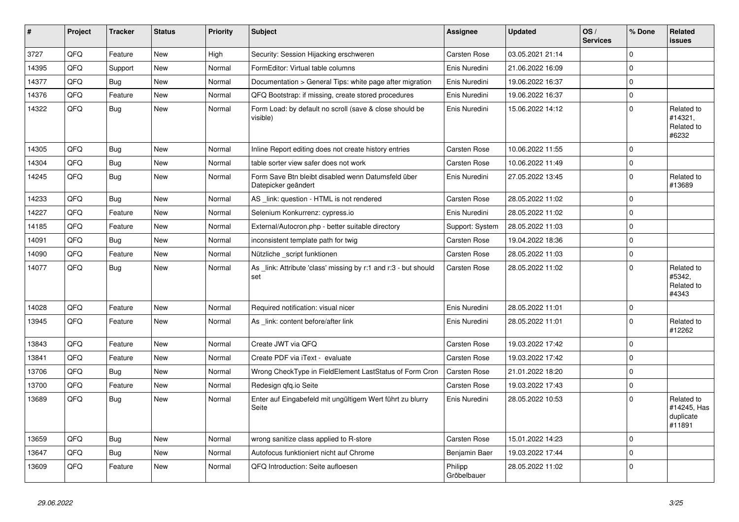| $\vert$ # | Project | <b>Tracker</b> | <b>Status</b> | <b>Priority</b> | <b>Subject</b>                                                            | <b>Assignee</b>        | <b>Updated</b>   | OS/<br><b>Services</b> | % Done      | Related<br>issues                                |
|-----------|---------|----------------|---------------|-----------------|---------------------------------------------------------------------------|------------------------|------------------|------------------------|-------------|--------------------------------------------------|
| 3727      | QFQ     | Feature        | <b>New</b>    | High            | Security: Session Hijacking erschweren                                    | Carsten Rose           | 03.05.2021 21:14 |                        | $\mathbf 0$ |                                                  |
| 14395     | QFQ     | Support        | <b>New</b>    | Normal          | FormEditor: Virtual table columns                                         | Enis Nuredini          | 21.06.2022 16:09 |                        | $\Omega$    |                                                  |
| 14377     | QFQ     | <b>Bug</b>     | <b>New</b>    | Normal          | Documentation > General Tips: white page after migration                  | Enis Nuredini          | 19.06.2022 16:37 |                        | $\mathbf 0$ |                                                  |
| 14376     | QFQ     | Feature        | <b>New</b>    | Normal          | QFQ Bootstrap: if missing, create stored procedures                       | Enis Nuredini          | 19.06.2022 16:37 |                        | $\Omega$    |                                                  |
| 14322     | QFQ     | <b>Bug</b>     | New           | Normal          | Form Load: by default no scroll (save & close should be<br>visible)       | Enis Nuredini          | 15.06.2022 14:12 |                        | $\Omega$    | Related to<br>#14321,<br>Related to<br>#6232     |
| 14305     | QFQ     | <b>Bug</b>     | <b>New</b>    | Normal          | Inline Report editing does not create history entries                     | Carsten Rose           | 10.06.2022 11:55 |                        | $\mathbf 0$ |                                                  |
| 14304     | QFQ     | Bug            | <b>New</b>    | Normal          | table sorter view safer does not work                                     | <b>Carsten Rose</b>    | 10.06.2022 11:49 |                        | $\Omega$    |                                                  |
| 14245     | QFQ     | Bug            | <b>New</b>    | Normal          | Form Save Btn bleibt disabled wenn Datumsfeld über<br>Datepicker geändert | Enis Nuredini          | 27.05.2022 13:45 |                        | $\Omega$    | Related to<br>#13689                             |
| 14233     | QFQ     | Bug            | <b>New</b>    | Normal          | AS _link: question - HTML is not rendered                                 | Carsten Rose           | 28.05.2022 11:02 |                        | $\mathbf 0$ |                                                  |
| 14227     | QFQ     | Feature        | <b>New</b>    | Normal          | Selenium Konkurrenz: cypress.io                                           | Enis Nuredini          | 28.05.2022 11:02 |                        | $\Omega$    |                                                  |
| 14185     | QFQ     | Feature        | <b>New</b>    | Normal          | External/Autocron.php - better suitable directory                         | Support: System        | 28.05.2022 11:03 |                        | $\mathbf 0$ |                                                  |
| 14091     | QFQ     | <b>Bug</b>     | <b>New</b>    | Normal          | inconsistent template path for twig                                       | <b>Carsten Rose</b>    | 19.04.2022 18:36 |                        | $\mathbf 0$ |                                                  |
| 14090     | QFQ     | Feature        | <b>New</b>    | Normal          | Nützliche script funktionen                                               | <b>Carsten Rose</b>    | 28.05.2022 11:03 |                        | $\Omega$    |                                                  |
| 14077     | QFQ     | <b>Bug</b>     | <b>New</b>    | Normal          | As link: Attribute 'class' missing by r:1 and r:3 - but should<br>set     | Carsten Rose           | 28.05.2022 11:02 |                        | $\Omega$    | Related to<br>#5342,<br>Related to<br>#4343      |
| 14028     | QFQ     | Feature        | <b>New</b>    | Normal          | Required notification: visual nicer                                       | Enis Nuredini          | 28.05.2022 11:01 |                        | $\mathbf 0$ |                                                  |
| 13945     | QFQ     | Feature        | <b>New</b>    | Normal          | As link: content before/after link                                        | Enis Nuredini          | 28.05.2022 11:01 |                        | $\Omega$    | Related to<br>#12262                             |
| 13843     | QFQ     | Feature        | <b>New</b>    | Normal          | Create JWT via QFQ                                                        | <b>Carsten Rose</b>    | 19.03.2022 17:42 |                        | $\mathbf 0$ |                                                  |
| 13841     | QFQ     | Feature        | New           | Normal          | Create PDF via iText - evaluate                                           | Carsten Rose           | 19.03.2022 17:42 |                        | $\Omega$    |                                                  |
| 13706     | QFQ     | Bug            | <b>New</b>    | Normal          | Wrong CheckType in FieldElement LastStatus of Form Cron                   | <b>Carsten Rose</b>    | 21.01.2022 18:20 |                        | $\Omega$    |                                                  |
| 13700     | QFQ     | Feature        | New           | Normal          | Redesign gfg.io Seite                                                     | <b>Carsten Rose</b>    | 19.03.2022 17:43 |                        | $\mathbf 0$ |                                                  |
| 13689     | QFQ     | Bug            | New           | Normal          | Enter auf Eingabefeld mit ungültigem Wert führt zu blurry<br>Seite        | Enis Nuredini          | 28.05.2022 10:53 |                        | $\Omega$    | Related to<br>#14245, Has<br>duplicate<br>#11891 |
| 13659     | QFQ     | <b>Bug</b>     | <b>New</b>    | Normal          | wrong sanitize class applied to R-store                                   | <b>Carsten Rose</b>    | 15.01.2022 14:23 |                        | $\Omega$    |                                                  |
| 13647     | QFQ     | Bug            | <b>New</b>    | Normal          | Autofocus funktioniert nicht auf Chrome                                   | Benjamin Baer          | 19.03.2022 17:44 |                        | $\Omega$    |                                                  |
| 13609     | QFQ     | Feature        | New           | Normal          | QFQ Introduction: Seite aufloesen                                         | Philipp<br>Gröbelbauer | 28.05.2022 11:02 |                        | $\Omega$    |                                                  |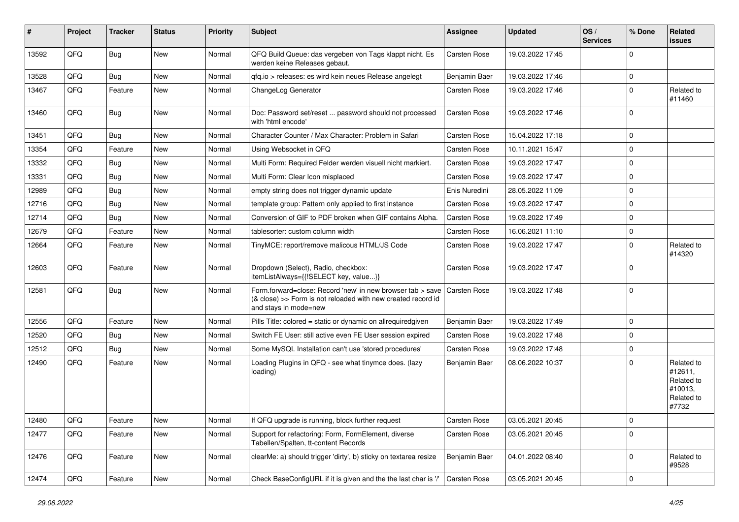| #     | Project | <b>Tracker</b> | <b>Status</b> | <b>Priority</b> | <b>Subject</b>                                                                                                                                      | <b>Assignee</b>     | <b>Updated</b>   | OS/<br><b>Services</b> | % Done         | Related<br>issues                                                     |
|-------|---------|----------------|---------------|-----------------|-----------------------------------------------------------------------------------------------------------------------------------------------------|---------------------|------------------|------------------------|----------------|-----------------------------------------------------------------------|
| 13592 | QFQ     | Bug            | New           | Normal          | QFQ Build Queue: das vergeben von Tags klappt nicht. Es<br>werden keine Releases gebaut.                                                            | Carsten Rose        | 19.03.2022 17:45 |                        | $\Omega$       |                                                                       |
| 13528 | QFQ     | Bug            | <b>New</b>    | Normal          | gfg.io > releases: es wird kein neues Release angelegt                                                                                              | Benjamin Baer       | 19.03.2022 17:46 |                        | $\mathbf 0$    |                                                                       |
| 13467 | QFQ     | Feature        | New           | Normal          | ChangeLog Generator                                                                                                                                 | Carsten Rose        | 19.03.2022 17:46 |                        | $\Omega$       | Related to<br>#11460                                                  |
| 13460 | QFQ     | Bug            | <b>New</b>    | Normal          | Doc: Password set/reset  password should not processed<br>with 'html encode'                                                                        | Carsten Rose        | 19.03.2022 17:46 |                        | 0              |                                                                       |
| 13451 | QFQ     | <b>Bug</b>     | <b>New</b>    | Normal          | Character Counter / Max Character: Problem in Safari                                                                                                | Carsten Rose        | 15.04.2022 17:18 |                        | $\Omega$       |                                                                       |
| 13354 | QFQ     | Feature        | New           | Normal          | Using Websocket in QFQ                                                                                                                              | Carsten Rose        | 10.11.2021 15:47 |                        | $\mathbf 0$    |                                                                       |
| 13332 | QFQ     | Bug            | New           | Normal          | Multi Form: Required Felder werden visuell nicht markiert.                                                                                          | Carsten Rose        | 19.03.2022 17:47 |                        | $\mathbf 0$    |                                                                       |
| 13331 | QFQ     | <b>Bug</b>     | <b>New</b>    | Normal          | Multi Form: Clear Icon misplaced                                                                                                                    | Carsten Rose        | 19.03.2022 17:47 |                        | $\mathbf 0$    |                                                                       |
| 12989 | QFQ     | <b>Bug</b>     | New           | Normal          | empty string does not trigger dynamic update                                                                                                        | Enis Nuredini       | 28.05.2022 11:09 |                        | $\mathbf 0$    |                                                                       |
| 12716 | QFQ     | <b>Bug</b>     | <b>New</b>    | Normal          | template group: Pattern only applied to first instance                                                                                              | Carsten Rose        | 19.03.2022 17:47 |                        | $\mathbf 0$    |                                                                       |
| 12714 | QFQ     | <b>Bug</b>     | <b>New</b>    | Normal          | Conversion of GIF to PDF broken when GIF contains Alpha.                                                                                            | Carsten Rose        | 19.03.2022 17:49 |                        | $\mathbf 0$    |                                                                       |
| 12679 | QFQ     | Feature        | New           | Normal          | tablesorter: custom column width                                                                                                                    | Carsten Rose        | 16.06.2021 11:10 |                        | $\mathbf 0$    |                                                                       |
| 12664 | QFQ     | Feature        | New           | Normal          | TinyMCE: report/remove malicous HTML/JS Code                                                                                                        | Carsten Rose        | 19.03.2022 17:47 |                        | $\mathbf 0$    | Related to<br>#14320                                                  |
| 12603 | QFQ     | Feature        | <b>New</b>    | Normal          | Dropdown (Select), Radio, checkbox:<br>itemListAlways={{!SELECT key, value}}                                                                        | Carsten Rose        | 19.03.2022 17:47 |                        | $\Omega$       |                                                                       |
| 12581 | QFQ     | <b>Bug</b>     | New           | Normal          | Form.forward=close: Record 'new' in new browser tab > save<br>(& close) >> Form is not reloaded with new created record id<br>and stays in mode=new | <b>Carsten Rose</b> | 19.03.2022 17:48 |                        | 0              |                                                                       |
| 12556 | QFQ     | Feature        | <b>New</b>    | Normal          | Pills Title: colored = static or dynamic on allrequiredgiven                                                                                        | Benjamin Baer       | 19.03.2022 17:49 |                        | $\mathbf 0$    |                                                                       |
| 12520 | QFQ     | Bug            | New           | Normal          | Switch FE User: still active even FE User session expired                                                                                           | Carsten Rose        | 19.03.2022 17:48 |                        | $\Omega$       |                                                                       |
| 12512 | QFQ     | <b>Bug</b>     | <b>New</b>    | Normal          | Some MySQL Installation can't use 'stored procedures'                                                                                               | Carsten Rose        | 19.03.2022 17:48 |                        | $\mathbf 0$    |                                                                       |
| 12490 | QFQ     | Feature        | <b>New</b>    | Normal          | Loading Plugins in QFQ - see what tinymce does. (lazy<br>loading)                                                                                   | Benjamin Baer       | 08.06.2022 10:37 |                        | $\Omega$       | Related to<br>#12611,<br>Related to<br>#10013,<br>Related to<br>#7732 |
| 12480 | QFQ     | Feature        | New           | Normal          | If QFQ upgrade is running, block further request                                                                                                    | Carsten Rose        | 03.05.2021 20:45 |                        | 0              |                                                                       |
| 12477 | QFQ     | Feature        | New           | Normal          | Support for refactoring: Form, FormElement, diverse<br>Tabellen/Spalten, tt-content Records                                                         | Carsten Rose        | 03.05.2021 20:45 |                        | 0              |                                                                       |
| 12476 | QFQ     | Feature        | New           | Normal          | clearMe: a) should trigger 'dirty', b) sticky on textarea resize                                                                                    | Benjamin Baer       | 04.01.2022 08:40 |                        | $\mathbf 0$    | Related to<br>#9528                                                   |
| 12474 | QFQ     | Feature        | New           | Normal          | Check BaseConfigURL if it is given and the the last char is '/'                                                                                     | Carsten Rose        | 03.05.2021 20:45 |                        | $\overline{0}$ |                                                                       |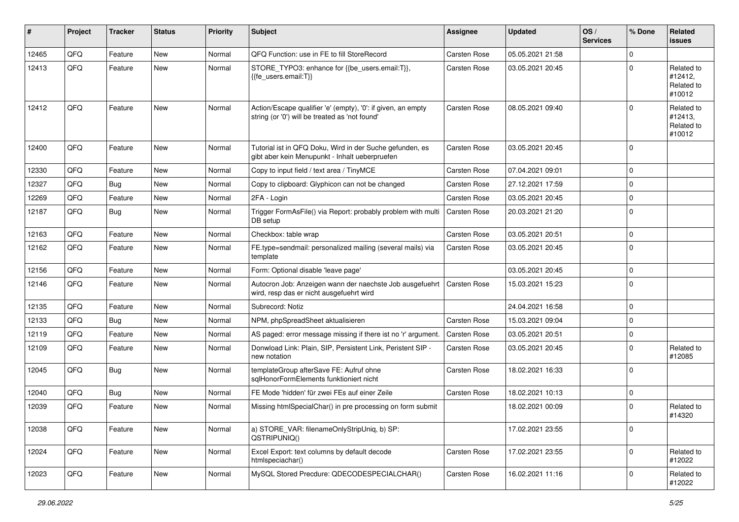| #     | Project | <b>Tracker</b> | <b>Status</b> | <b>Priority</b> | <b>Subject</b>                                                                                                 | <b>Assignee</b>     | <b>Updated</b>   | OS/<br><b>Services</b> | % Done      | Related<br>issues                             |
|-------|---------|----------------|---------------|-----------------|----------------------------------------------------------------------------------------------------------------|---------------------|------------------|------------------------|-------------|-----------------------------------------------|
| 12465 | QFQ     | Feature        | <b>New</b>    | Normal          | QFQ Function: use in FE to fill StoreRecord                                                                    | Carsten Rose        | 05.05.2021 21:58 |                        | $\Omega$    |                                               |
| 12413 | QFQ     | Feature        | <b>New</b>    | Normal          | STORE_TYPO3: enhance for {{be_users.email:T}},<br>{{fe users.email:T}}                                         | <b>Carsten Rose</b> | 03.05.2021 20:45 |                        | $\Omega$    | Related to<br>#12412,<br>Related to<br>#10012 |
| 12412 | QFQ     | Feature        | New           | Normal          | Action/Escape qualifier 'e' (empty), '0': if given, an empty<br>string (or '0') will be treated as 'not found' | <b>Carsten Rose</b> | 08.05.2021 09:40 |                        | $\Omega$    | Related to<br>#12413,<br>Related to<br>#10012 |
| 12400 | QFQ     | Feature        | <b>New</b>    | Normal          | Tutorial ist in QFQ Doku, Wird in der Suche gefunden, es<br>gibt aber kein Menupunkt - Inhalt ueberpruefen     | <b>Carsten Rose</b> | 03.05.2021 20:45 |                        | $\Omega$    |                                               |
| 12330 | QFQ     | Feature        | <b>New</b>    | Normal          | Copy to input field / text area / TinyMCE                                                                      | <b>Carsten Rose</b> | 07.04.2021 09:01 |                        | $\Omega$    |                                               |
| 12327 | QFQ     | <b>Bug</b>     | <b>New</b>    | Normal          | Copy to clipboard: Glyphicon can not be changed                                                                | <b>Carsten Rose</b> | 27.12.2021 17:59 |                        | $\Omega$    |                                               |
| 12269 | QFQ     | Feature        | New           | Normal          | 2FA - Login                                                                                                    | Carsten Rose        | 03.05.2021 20:45 |                        | $\Omega$    |                                               |
| 12187 | QFQ     | Bug            | <b>New</b>    | Normal          | Trigger FormAsFile() via Report: probably problem with multi<br>DB setup                                       | Carsten Rose        | 20.03.2021 21:20 |                        | $\Omega$    |                                               |
| 12163 | QFQ     | Feature        | New           | Normal          | Checkbox: table wrap                                                                                           | <b>Carsten Rose</b> | 03.05.2021 20:51 |                        | $\Omega$    |                                               |
| 12162 | QFQ     | Feature        | <b>New</b>    | Normal          | FE.type=sendmail: personalized mailing (several mails) via<br>template                                         | <b>Carsten Rose</b> | 03.05.2021 20:45 |                        | $\Omega$    |                                               |
| 12156 | QFQ     | Feature        | <b>New</b>    | Normal          | Form: Optional disable 'leave page'                                                                            |                     | 03.05.2021 20:45 |                        | $\mathbf 0$ |                                               |
| 12146 | QFQ     | Feature        | New           | Normal          | Autocron Job: Anzeigen wann der naechste Job ausgefuehrt<br>wird, resp das er nicht ausgefuehrt wird           | Carsten Rose        | 15.03.2021 15:23 |                        | $\Omega$    |                                               |
| 12135 | QFQ     | Feature        | <b>New</b>    | Normal          | Subrecord: Notiz                                                                                               |                     | 24.04.2021 16:58 |                        | $\Omega$    |                                               |
| 12133 | QFQ     | Bug            | <b>New</b>    | Normal          | NPM, phpSpreadSheet aktualisieren                                                                              | <b>Carsten Rose</b> | 15.03.2021 09:04 |                        | $\mathbf 0$ |                                               |
| 12119 | QFQ     | Feature        | New           | Normal          | AS paged: error message missing if there ist no 'r' argument.                                                  | Carsten Rose        | 03.05.2021 20:51 |                        | $\Omega$    |                                               |
| 12109 | QFQ     | Feature        | <b>New</b>    | Normal          | Donwload Link: Plain, SIP, Persistent Link, Peristent SIP -<br>new notation                                    | Carsten Rose        | 03.05.2021 20:45 |                        | $\Omega$    | Related to<br>#12085                          |
| 12045 | QFQ     | Bug            | <b>New</b>    | Normal          | templateGroup afterSave FE: Aufruf ohne<br>sqlHonorFormElements funktioniert nicht                             | <b>Carsten Rose</b> | 18.02.2021 16:33 |                        | $\mathbf 0$ |                                               |
| 12040 | QFQ     | Bug            | <b>New</b>    | Normal          | FE Mode 'hidden' für zwei FEs auf einer Zeile                                                                  | <b>Carsten Rose</b> | 18.02.2021 10:13 |                        | $\mathbf 0$ |                                               |
| 12039 | QFQ     | Feature        | <b>New</b>    | Normal          | Missing htmlSpecialChar() in pre processing on form submit                                                     |                     | 18.02.2021 00:09 |                        | $\Omega$    | Related to<br>#14320                          |
| 12038 | QFQ     | Feature        | New           | Normal          | a) STORE_VAR: filenameOnlyStripUniq, b) SP:<br>QSTRIPUNIQ()                                                    |                     | 17.02.2021 23:55 |                        | 0           |                                               |
| 12024 | QFQ     | Feature        | New           | Normal          | Excel Export: text columns by default decode<br>htmlspeciachar()                                               | Carsten Rose        | 17.02.2021 23:55 |                        | $\mathbf 0$ | Related to<br>#12022                          |
| 12023 | QFQ     | Feature        | New           | Normal          | MySQL Stored Precdure: QDECODESPECIALCHAR()                                                                    | Carsten Rose        | 16.02.2021 11:16 |                        | 0           | Related to<br>#12022                          |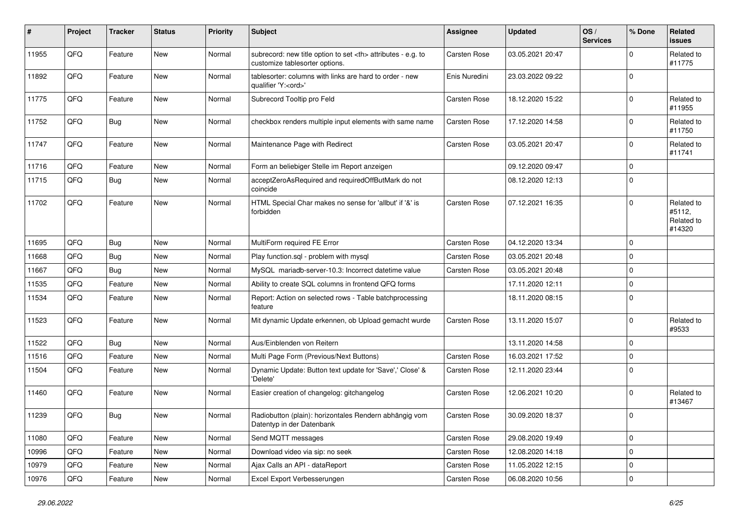| #     | Project | <b>Tracker</b> | <b>Status</b> | <b>Priority</b> | <b>Subject</b>                                                                                       | <b>Assignee</b>                                        | <b>Updated</b>   | OS/<br><b>Services</b> | % Done      | Related<br><b>issues</b>                     |                      |
|-------|---------|----------------|---------------|-----------------|------------------------------------------------------------------------------------------------------|--------------------------------------------------------|------------------|------------------------|-------------|----------------------------------------------|----------------------|
| 11955 | QFQ     | Feature        | <b>New</b>    | Normal          | subrecord: new title option to set <th> attributes - e.g. to<br/>customize tablesorter options.</th> | attributes - e.g. to<br>customize tablesorter options. | Carsten Rose     | 03.05.2021 20:47       |             | $\Omega$                                     | Related to<br>#11775 |
| 11892 | QFQ     | Feature        | New           | Normal          | tablesorter: columns with links are hard to order - new<br>qualifier 'Y: <ord>'</ord>                | Enis Nuredini                                          | 23.03.2022 09:22 |                        | $\Omega$    |                                              |                      |
| 11775 | QFQ     | Feature        | <b>New</b>    | Normal          | Subrecord Tooltip pro Feld                                                                           | Carsten Rose                                           | 18.12.2020 15:22 |                        | $\Omega$    | Related to<br>#11955                         |                      |
| 11752 | QFQ     | Bug            | New           | Normal          | checkbox renders multiple input elements with same name                                              | Carsten Rose                                           | 17.12.2020 14:58 |                        | 0           | Related to<br>#11750                         |                      |
| 11747 | QFQ     | Feature        | New           | Normal          | Maintenance Page with Redirect                                                                       | Carsten Rose                                           | 03.05.2021 20:47 |                        | $\mathbf 0$ | Related to<br>#11741                         |                      |
| 11716 | QFQ     | Feature        | <b>New</b>    | Normal          | Form an beliebiger Stelle im Report anzeigen                                                         |                                                        | 09.12.2020 09:47 |                        | $\mathbf 0$ |                                              |                      |
| 11715 | QFQ     | Bug            | New           | Normal          | acceptZeroAsRequired and requiredOffButMark do not<br>coincide                                       |                                                        | 08.12.2020 12:13 |                        | $\mathbf 0$ |                                              |                      |
| 11702 | QFQ     | Feature        | New           | Normal          | HTML Special Char makes no sense for 'allbut' if '&' is<br>forbidden                                 | <b>Carsten Rose</b>                                    | 07.12.2021 16:35 |                        | $\Omega$    | Related to<br>#5112,<br>Related to<br>#14320 |                      |
| 11695 | QFQ     | <b>Bug</b>     | New           | Normal          | MultiForm required FE Error                                                                          | Carsten Rose                                           | 04.12.2020 13:34 |                        | 0           |                                              |                      |
| 11668 | QFQ     | Bug            | New           | Normal          | Play function.sql - problem with mysql                                                               | Carsten Rose                                           | 03.05.2021 20:48 |                        | $\Omega$    |                                              |                      |
| 11667 | QFQ     | <b>Bug</b>     | <b>New</b>    | Normal          | MySQL mariadb-server-10.3: Incorrect datetime value                                                  | Carsten Rose                                           | 03.05.2021 20:48 |                        | $\mathbf 0$ |                                              |                      |
| 11535 | QFQ     | Feature        | New           | Normal          | Ability to create SQL columns in frontend QFQ forms                                                  |                                                        | 17.11.2020 12:11 |                        | $\mathbf 0$ |                                              |                      |
| 11534 | QFQ     | Feature        | New           | Normal          | Report: Action on selected rows - Table batchprocessing<br>feature                                   |                                                        | 18.11.2020 08:15 |                        | $\mathbf 0$ |                                              |                      |
| 11523 | QFQ     | Feature        | New           | Normal          | Mit dynamic Update erkennen, ob Upload gemacht wurde                                                 | Carsten Rose                                           | 13.11.2020 15:07 |                        | 0           | Related to<br>#9533                          |                      |
| 11522 | QFQ     | Bug            | New           | Normal          | Aus/Einblenden von Reitern                                                                           |                                                        | 13.11.2020 14:58 |                        | $\mathbf 0$ |                                              |                      |
| 11516 | QFQ     | Feature        | <b>New</b>    | Normal          | Multi Page Form (Previous/Next Buttons)                                                              | Carsten Rose                                           | 16.03.2021 17:52 |                        | $\Omega$    |                                              |                      |
| 11504 | QFQ     | Feature        | New           | Normal          | Dynamic Update: Button text update for 'Save',' Close' &<br>'Delete'                                 | Carsten Rose                                           | 12.11.2020 23:44 |                        | $\mathbf 0$ |                                              |                      |
| 11460 | QFQ     | Feature        | New           | Normal          | Easier creation of changelog: gitchangelog                                                           | Carsten Rose                                           | 12.06.2021 10:20 |                        | $\mathbf 0$ | Related to<br>#13467                         |                      |
| 11239 | QFQ     | Bug            | <b>New</b>    | Normal          | Radiobutton (plain): horizontales Rendern abhängig vom<br>Datentyp in der Datenbank                  | Carsten Rose                                           | 30.09.2020 18:37 |                        | $\Omega$    |                                              |                      |
| 11080 | QFQ     | Feature        | New           | Normal          | Send MQTT messages                                                                                   | Carsten Rose                                           | 29.08.2020 19:49 |                        | $\mathbf 0$ |                                              |                      |
| 10996 | QFQ     | Feature        | New           | Normal          | Download video via sip: no seek                                                                      | Carsten Rose                                           | 12.08.2020 14:18 |                        | 0           |                                              |                      |
| 10979 | QFQ     | Feature        | New           | Normal          | Ajax Calls an API - dataReport                                                                       | Carsten Rose                                           | 11.05.2022 12:15 |                        | $\mathbf 0$ |                                              |                      |
| 10976 | QFQ     | Feature        | New           | Normal          | Excel Export Verbesserungen                                                                          | Carsten Rose                                           | 06.08.2020 10:56 |                        | 0           |                                              |                      |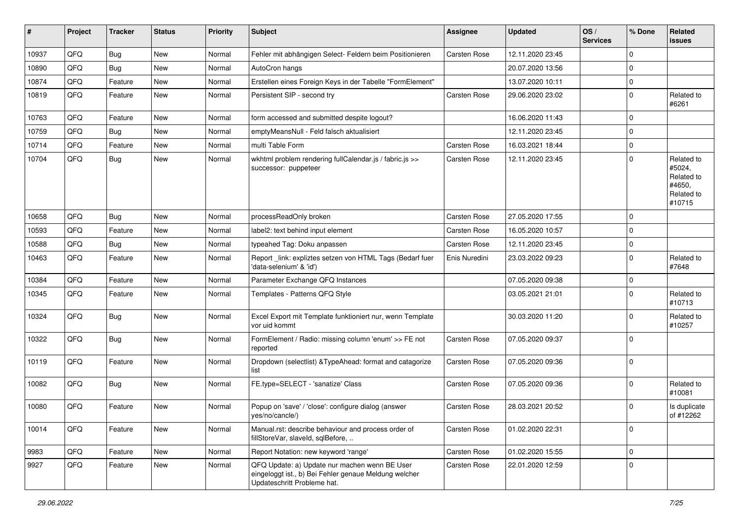| #     | Project | <b>Tracker</b> | <b>Status</b> | <b>Priority</b> | <b>Subject</b>                                                                                                                        | <b>Assignee</b>     | <b>Updated</b>   | OS/<br><b>Services</b> | % Done      | Related<br>issues                                                    |
|-------|---------|----------------|---------------|-----------------|---------------------------------------------------------------------------------------------------------------------------------------|---------------------|------------------|------------------------|-------------|----------------------------------------------------------------------|
| 10937 | QFQ     | Bug            | New           | Normal          | Fehler mit abhängigen Select- Feldern beim Positionieren                                                                              | Carsten Rose        | 12.11.2020 23:45 |                        | $\Omega$    |                                                                      |
| 10890 | QFQ     | Bug            | New           | Normal          | AutoCron hangs                                                                                                                        |                     | 20.07.2020 13:56 |                        | $\mathbf 0$ |                                                                      |
| 10874 | QFQ     | Feature        | <b>New</b>    | Normal          | Erstellen eines Foreign Keys in der Tabelle "FormElement"                                                                             |                     | 13.07.2020 10:11 |                        | $\mathbf 0$ |                                                                      |
| 10819 | QFQ     | Feature        | New           | Normal          | Persistent SIP - second try                                                                                                           | Carsten Rose        | 29.06.2020 23:02 |                        | 0           | Related to<br>#6261                                                  |
| 10763 | QFQ     | Feature        | <b>New</b>    | Normal          | form accessed and submitted despite logout?                                                                                           |                     | 16.06.2020 11:43 |                        | $\mathbf 0$ |                                                                      |
| 10759 | QFQ     | <b>Bug</b>     | <b>New</b>    | Normal          | emptyMeansNull - Feld falsch aktualisiert                                                                                             |                     | 12.11.2020 23:45 |                        | 0           |                                                                      |
| 10714 | QFQ     | Feature        | New           | Normal          | multi Table Form                                                                                                                      | Carsten Rose        | 16.03.2021 18:44 |                        | $\mathbf 0$ |                                                                      |
| 10704 | QFQ     | <b>Bug</b>     | New           | Normal          | wkhtml problem rendering fullCalendar.js / fabric.js >><br>successor: puppeteer                                                       | Carsten Rose        | 12.11.2020 23:45 |                        | $\Omega$    | Related to<br>#5024,<br>Related to<br>#4650,<br>Related to<br>#10715 |
| 10658 | QFQ     | Bug            | New           | Normal          | processReadOnly broken                                                                                                                | <b>Carsten Rose</b> | 27.05.2020 17:55 |                        | $\mathbf 0$ |                                                                      |
| 10593 | QFQ     | Feature        | <b>New</b>    | Normal          | label2: text behind input element                                                                                                     | Carsten Rose        | 16.05.2020 10:57 |                        | 0           |                                                                      |
| 10588 | QFQ     | Bug            | New           | Normal          | typeahed Tag: Doku anpassen                                                                                                           | Carsten Rose        | 12.11.2020 23:45 |                        | $\mathbf 0$ |                                                                      |
| 10463 | QFQ     | Feature        | <b>New</b>    | Normal          | Report_link: expliztes setzen von HTML Tags (Bedarf fuer<br>'data-selenium' & 'id')                                                   | Enis Nuredini       | 23.03.2022 09:23 |                        | 0           | Related to<br>#7648                                                  |
| 10384 | QFQ     | Feature        | New           | Normal          | Parameter Exchange QFQ Instances                                                                                                      |                     | 07.05.2020 09:38 |                        | $\mathbf 0$ |                                                                      |
| 10345 | QFQ     | Feature        | New           | Normal          | Templates - Patterns QFQ Style                                                                                                        |                     | 03.05.2021 21:01 |                        | $\Omega$    | Related to<br>#10713                                                 |
| 10324 | QFQ     | Bug            | New           | Normal          | Excel Export mit Template funktioniert nur, wenn Template<br>vor uid kommt                                                            |                     | 30.03.2020 11:20 |                        | $\mathbf 0$ | Related to<br>#10257                                                 |
| 10322 | QFQ     | Bug            | <b>New</b>    | Normal          | FormElement / Radio: missing column 'enum' >> FE not<br>reported                                                                      | <b>Carsten Rose</b> | 07.05.2020 09:37 |                        | $\mathbf 0$ |                                                                      |
| 10119 | QFQ     | Feature        | <b>New</b>    | Normal          | Dropdown (selectlist) & TypeAhead: format and catagorize<br>list                                                                      | Carsten Rose        | 07.05.2020 09:36 |                        | $\Omega$    |                                                                      |
| 10082 | QFQ     | <b>Bug</b>     | <b>New</b>    | Normal          | FE.type=SELECT - 'sanatize' Class                                                                                                     | Carsten Rose        | 07.05.2020 09:36 |                        | 0           | Related to<br>#10081                                                 |
| 10080 | QFQ     | Feature        | <b>New</b>    | Normal          | Popup on 'save' / 'close': configure dialog (answer<br>yes/no/cancle/)                                                                | Carsten Rose        | 28.03.2021 20:52 |                        | $\mathbf 0$ | Is duplicate<br>of #12262                                            |
| 10014 | QFQ     | Feature        | New           | Normal          | Manual.rst: describe behaviour and process order of<br>fillStoreVar, slaveId, sqlBefore,                                              | Carsten Rose        | 01.02.2020 22:31 |                        | $\mathbf 0$ |                                                                      |
| 9983  | QFQ     | Feature        | New           | Normal          | Report Notation: new keyword 'range'                                                                                                  | Carsten Rose        | 01.02.2020 15:55 |                        | $\mathbf 0$ |                                                                      |
| 9927  | QFQ     | Feature        | New           | Normal          | QFQ Update: a) Update nur machen wenn BE User<br>eingeloggt ist., b) Bei Fehler genaue Meldung welcher<br>Updateschritt Probleme hat. | Carsten Rose        | 22.01.2020 12:59 |                        | $\mathbf 0$ |                                                                      |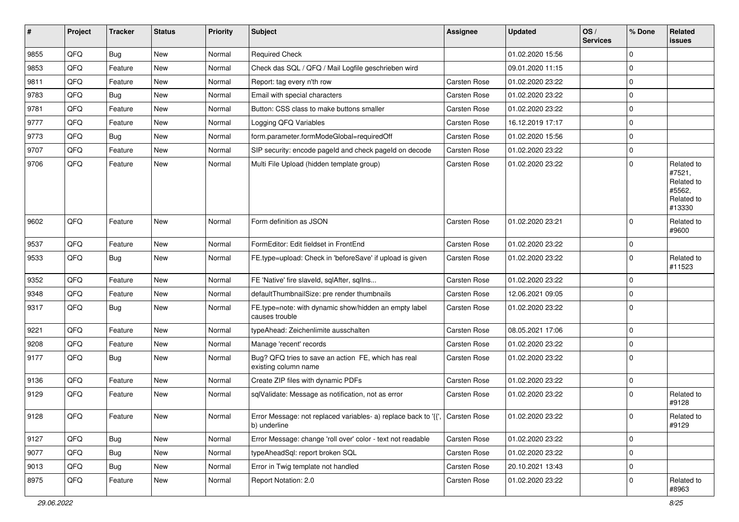| #    | Project | <b>Tracker</b> | <b>Status</b> | <b>Priority</b> | <b>Subject</b>                                                                                 | Assignee            | <b>Updated</b>   | OS/<br><b>Services</b> | % Done      | Related<br>issues                                                    |
|------|---------|----------------|---------------|-----------------|------------------------------------------------------------------------------------------------|---------------------|------------------|------------------------|-------------|----------------------------------------------------------------------|
| 9855 | QFQ     | <b>Bug</b>     | <b>New</b>    | Normal          | <b>Required Check</b>                                                                          |                     | 01.02.2020 15:56 |                        | $\Omega$    |                                                                      |
| 9853 | QFQ     | Feature        | <b>New</b>    | Normal          | Check das SQL / QFQ / Mail Logfile geschrieben wird                                            |                     | 09.01.2020 11:15 |                        | 0           |                                                                      |
| 9811 | QFQ     | Feature        | New           | Normal          | Report: tag every n'th row                                                                     | Carsten Rose        | 01.02.2020 23:22 |                        | $\Omega$    |                                                                      |
| 9783 | QFQ     | Bug            | <b>New</b>    | Normal          | Email with special characters                                                                  | Carsten Rose        | 01.02.2020 23:22 |                        | $\Omega$    |                                                                      |
| 9781 | QFQ     | Feature        | New           | Normal          | Button: CSS class to make buttons smaller                                                      | Carsten Rose        | 01.02.2020 23:22 |                        | 0           |                                                                      |
| 9777 | QFQ     | Feature        | New           | Normal          | Logging QFQ Variables                                                                          | <b>Carsten Rose</b> | 16.12.2019 17:17 |                        | $\mathbf 0$ |                                                                      |
| 9773 | QFQ     | <b>Bug</b>     | New           | Normal          | form.parameter.formModeGlobal=requiredOff                                                      | Carsten Rose        | 01.02.2020 15:56 |                        | 0           |                                                                      |
| 9707 | QFQ     | Feature        | <b>New</b>    | Normal          | SIP security: encode pageld and check pageld on decode                                         | <b>Carsten Rose</b> | 01.02.2020 23:22 |                        | 0           |                                                                      |
| 9706 | QFQ     | Feature        | New           | Normal          | Multi File Upload (hidden template group)                                                      | Carsten Rose        | 01.02.2020 23:22 |                        | $\Omega$    | Related to<br>#7521,<br>Related to<br>#5562,<br>Related to<br>#13330 |
| 9602 | QFQ     | Feature        | <b>New</b>    | Normal          | Form definition as JSON                                                                        | <b>Carsten Rose</b> | 01.02.2020 23:21 |                        | $\Omega$    | Related to<br>#9600                                                  |
| 9537 | QFQ     | Feature        | New           | Normal          | FormEditor: Edit fieldset in FrontEnd                                                          | <b>Carsten Rose</b> | 01.02.2020 23:22 |                        | $\mathbf 0$ |                                                                      |
| 9533 | QFQ     | <b>Bug</b>     | New           | Normal          | FE.type=upload: Check in 'beforeSave' if upload is given                                       | Carsten Rose        | 01.02.2020 23:22 |                        | 0           | Related to<br>#11523                                                 |
| 9352 | QFQ     | Feature        | <b>New</b>    | Normal          | FE 'Native' fire slaveld, sqlAfter, sqlIns                                                     | <b>Carsten Rose</b> | 01.02.2020 23:22 |                        | $\mathbf 0$ |                                                                      |
| 9348 | QFQ     | Feature        | New           | Normal          | defaultThumbnailSize: pre render thumbnails                                                    | <b>Carsten Rose</b> | 12.06.2021 09:05 |                        | 0           |                                                                      |
| 9317 | QFQ     | Bug            | New           | Normal          | FE.type=note: with dynamic show/hidden an empty label<br>causes trouble                        | Carsten Rose        | 01.02.2020 23:22 |                        | 0           |                                                                      |
| 9221 | QFQ     | Feature        | New           | Normal          | typeAhead: Zeichenlimite ausschalten                                                           | Carsten Rose        | 08.05.2021 17:06 |                        | $\mathbf 0$ |                                                                      |
| 9208 | QFQ     | Feature        | New           | Normal          | Manage 'recent' records                                                                        | Carsten Rose        | 01.02.2020 23:22 |                        | $\mathbf 0$ |                                                                      |
| 9177 | QFQ     | Bug            | New           | Normal          | Bug? QFQ tries to save an action FE, which has real<br>existing column name                    | Carsten Rose        | 01.02.2020 23:22 |                        | 0           |                                                                      |
| 9136 | QFQ     | Feature        | New           | Normal          | Create ZIP files with dynamic PDFs                                                             | <b>Carsten Rose</b> | 01.02.2020 23:22 |                        | $\mathbf 0$ |                                                                      |
| 9129 | QFQ     | Feature        | New           | Normal          | sqlValidate: Message as notification, not as error                                             | Carsten Rose        | 01.02.2020 23:22 |                        | 0           | Related to<br>#9128                                                  |
| 9128 | QFQ     | Feature        | New           | Normal          | Error Message: not replaced variables- a) replace back to '{{',   Carsten Rose<br>b) underline |                     | 01.02.2020 23:22 |                        | $\mathbf 0$ | Related to<br>#9129                                                  |
| 9127 | QFQ     | Bug            | New           | Normal          | Error Message: change 'roll over' color - text not readable                                    | Carsten Rose        | 01.02.2020 23:22 |                        | $\mathbf 0$ |                                                                      |
| 9077 | QFQ     | Bug            | New           | Normal          | typeAheadSql: report broken SQL                                                                | Carsten Rose        | 01.02.2020 23:22 |                        | $\mathbf 0$ |                                                                      |
| 9013 | QFQ     | <b>Bug</b>     | New           | Normal          | Error in Twig template not handled                                                             | Carsten Rose        | 20.10.2021 13:43 |                        | $\mathbf 0$ |                                                                      |
| 8975 | QFQ     | Feature        | New           | Normal          | Report Notation: 2.0                                                                           | Carsten Rose        | 01.02.2020 23:22 |                        | 0           | Related to<br>#8963                                                  |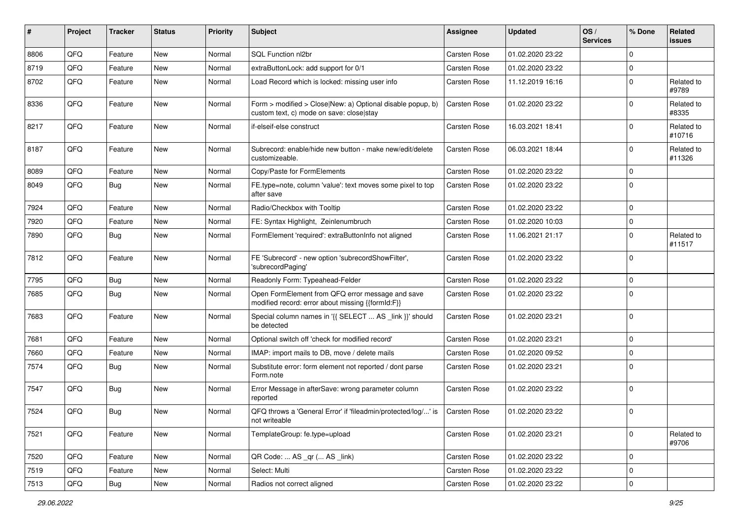| ∦    | Project | <b>Tracker</b> | <b>Status</b> | Priority | <b>Subject</b>                                                                                         | <b>Assignee</b>     | <b>Updated</b>   | OS/<br><b>Services</b> | % Done      | Related<br><b>issues</b> |
|------|---------|----------------|---------------|----------|--------------------------------------------------------------------------------------------------------|---------------------|------------------|------------------------|-------------|--------------------------|
| 8806 | QFQ     | Feature        | New           | Normal   | SQL Function nl2br                                                                                     | Carsten Rose        | 01.02.2020 23:22 |                        | $\mathbf 0$ |                          |
| 8719 | QFQ     | Feature        | <b>New</b>    | Normal   | extraButtonLock: add support for 0/1                                                                   | <b>Carsten Rose</b> | 01.02.2020 23:22 |                        | $\pmb{0}$   |                          |
| 8702 | QFQ     | Feature        | New           | Normal   | Load Record which is locked: missing user info                                                         | <b>Carsten Rose</b> | 11.12.2019 16:16 |                        | $\mathbf 0$ | Related to<br>#9789      |
| 8336 | QFQ     | Feature        | <b>New</b>    | Normal   | Form > modified > Close New: a) Optional disable popup, b)<br>custom text, c) mode on save: close stay | Carsten Rose        | 01.02.2020 23:22 |                        | $\mathbf 0$ | Related to<br>#8335      |
| 8217 | QFQ     | Feature        | New           | Normal   | if-elseif-else construct                                                                               | <b>Carsten Rose</b> | 16.03.2021 18:41 |                        | $\pmb{0}$   | Related to<br>#10716     |
| 8187 | QFQ     | Feature        | <b>New</b>    | Normal   | Subrecord: enable/hide new button - make new/edit/delete<br>customizeable.                             | <b>Carsten Rose</b> | 06.03.2021 18:44 |                        | $\mathbf 0$ | Related to<br>#11326     |
| 8089 | QFQ     | Feature        | <b>New</b>    | Normal   | Copy/Paste for FormElements                                                                            | <b>Carsten Rose</b> | 01.02.2020 23:22 |                        | $\mathbf 0$ |                          |
| 8049 | QFQ     | Bug            | <b>New</b>    | Normal   | FE.type=note, column 'value': text moves some pixel to top<br>after save                               | <b>Carsten Rose</b> | 01.02.2020 23:22 |                        | $\Omega$    |                          |
| 7924 | QFQ     | Feature        | New           | Normal   | Radio/Checkbox with Tooltip                                                                            | Carsten Rose        | 01.02.2020 23:22 |                        | $\mathbf 0$ |                          |
| 7920 | QFQ     | Feature        | <b>New</b>    | Normal   | FE: Syntax Highlight, Zeinlenumbruch                                                                   | <b>Carsten Rose</b> | 01.02.2020 10:03 |                        | $\pmb{0}$   |                          |
| 7890 | QFQ     | Bug            | <b>New</b>    | Normal   | FormElement 'required': extraButtonInfo not aligned                                                    | <b>Carsten Rose</b> | 11.06.2021 21:17 |                        | $\mathbf 0$ | Related to<br>#11517     |
| 7812 | QFQ     | Feature        | <b>New</b>    | Normal   | FE 'Subrecord' - new option 'subrecordShowFilter',<br>'subrecordPaging'                                | <b>Carsten Rose</b> | 01.02.2020 23:22 |                        | $\mathbf 0$ |                          |
| 7795 | QFQ     | Bug            | New           | Normal   | Readonly Form: Typeahead-Felder                                                                        | <b>Carsten Rose</b> | 01.02.2020 23:22 |                        | $\pmb{0}$   |                          |
| 7685 | QFQ     | Bug            | New           | Normal   | Open FormElement from QFQ error message and save<br>modified record: error about missing {{formId:F}}  | Carsten Rose        | 01.02.2020 23:22 |                        | $\mathbf 0$ |                          |
| 7683 | QFQ     | Feature        | <b>New</b>    | Normal   | Special column names in '{{ SELECT  AS _link }}' should<br>be detected                                 | <b>Carsten Rose</b> | 01.02.2020 23:21 |                        | $\mathbf 0$ |                          |
| 7681 | QFQ     | Feature        | <b>New</b>    | Normal   | Optional switch off 'check for modified record'                                                        | <b>Carsten Rose</b> | 01.02.2020 23:21 |                        | $\pmb{0}$   |                          |
| 7660 | QFQ     | Feature        | <b>New</b>    | Normal   | IMAP: import mails to DB, move / delete mails                                                          | <b>Carsten Rose</b> | 01.02.2020 09:52 |                        | $\pmb{0}$   |                          |
| 7574 | QFQ     | Bug            | New           | Normal   | Substitute error: form element not reported / dont parse<br>Form.note                                  | Carsten Rose        | 01.02.2020 23:21 |                        | $\Omega$    |                          |
| 7547 | QFQ     | Bug            | <b>New</b>    | Normal   | Error Message in afterSave: wrong parameter column<br>reported                                         | <b>Carsten Rose</b> | 01.02.2020 23:22 |                        | $\mathbf 0$ |                          |
| 7524 | QFQ     | Bug            | <b>New</b>    | Normal   | QFQ throws a 'General Error' if 'fileadmin/protected/log/' is<br>not writeable                         | Carsten Rose        | 01.02.2020 23:22 |                        | $\pmb{0}$   |                          |
| 7521 | QFQ     | Feature        | New           | Normal   | TemplateGroup: fe.type=upload                                                                          | Carsten Rose        | 01.02.2020 23:21 |                        | $\pmb{0}$   | Related to<br>#9706      |
| 7520 | QFQ     | Feature        | New           | Normal   | QR Code:  AS _qr ( AS _link)                                                                           | Carsten Rose        | 01.02.2020 23:22 |                        | $\pmb{0}$   |                          |
| 7519 | QFQ     | Feature        | New           | Normal   | Select: Multi                                                                                          | Carsten Rose        | 01.02.2020 23:22 |                        | $\pmb{0}$   |                          |
| 7513 | QFQ     | Bug            | New           | Normal   | Radios not correct aligned                                                                             | <b>Carsten Rose</b> | 01.02.2020 23:22 |                        | 0           |                          |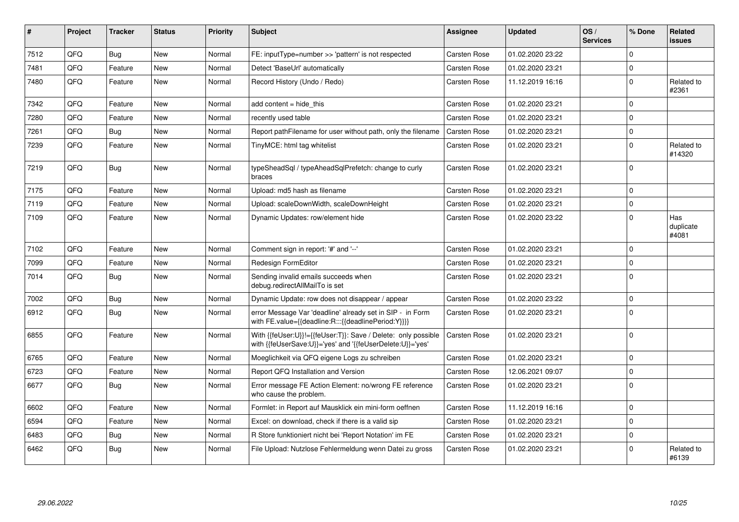| ∦    | Project | <b>Tracker</b> | <b>Status</b> | <b>Priority</b> | <b>Subject</b>                                                                                                             | Assignee            | <b>Updated</b>   | OS/<br><b>Services</b> | % Done      | <b>Related</b><br><b>issues</b> |
|------|---------|----------------|---------------|-----------------|----------------------------------------------------------------------------------------------------------------------------|---------------------|------------------|------------------------|-------------|---------------------------------|
| 7512 | QFQ     | <b>Bug</b>     | <b>New</b>    | Normal          | FE: inputType=number >> 'pattern' is not respected                                                                         | Carsten Rose        | 01.02.2020 23:22 |                        | $\mathbf 0$ |                                 |
| 7481 | QFQ     | Feature        | <b>New</b>    | Normal          | Detect 'BaseUrl' automatically                                                                                             | Carsten Rose        | 01.02.2020 23:21 |                        | $\mathbf 0$ |                                 |
| 7480 | QFQ     | Feature        | <b>New</b>    | Normal          | Record History (Undo / Redo)                                                                                               | <b>Carsten Rose</b> | 11.12.2019 16:16 |                        | $\mathbf 0$ | Related to<br>#2361             |
| 7342 | QFQ     | Feature        | <b>New</b>    | Normal          | add content $=$ hide this                                                                                                  | <b>Carsten Rose</b> | 01.02.2020 23:21 |                        | $\mathbf 0$ |                                 |
| 7280 | QFQ     | Feature        | <b>New</b>    | Normal          | recently used table                                                                                                        | <b>Carsten Rose</b> | 01.02.2020 23:21 |                        | $\mathbf 0$ |                                 |
| 7261 | QFQ     | Bug            | New           | Normal          | Report path Filename for user without path, only the filename                                                              | Carsten Rose        | 01.02.2020 23:21 |                        | $\mathbf 0$ |                                 |
| 7239 | QFQ     | Feature        | <b>New</b>    | Normal          | TinyMCE: html tag whitelist                                                                                                | Carsten Rose        | 01.02.2020 23:21 |                        | $\mathbf 0$ | Related to<br>#14320            |
| 7219 | QFQ     | Bug            | <b>New</b>    | Normal          | typeSheadSql / typeAheadSqlPrefetch: change to curly<br>braces                                                             | Carsten Rose        | 01.02.2020 23:21 |                        | $\mathbf 0$ |                                 |
| 7175 | QFQ     | Feature        | <b>New</b>    | Normal          | Upload: md5 hash as filename                                                                                               | Carsten Rose        | 01.02.2020 23:21 |                        | $\mathbf 0$ |                                 |
| 7119 | QFQ     | Feature        | <b>New</b>    | Normal          | Upload: scaleDownWidth, scaleDownHeight                                                                                    | Carsten Rose        | 01.02.2020 23:21 |                        | $\pmb{0}$   |                                 |
| 7109 | QFQ     | Feature        | <b>New</b>    | Normal          | Dynamic Updates: row/element hide                                                                                          | <b>Carsten Rose</b> | 01.02.2020 23:22 |                        | $\mathbf 0$ | Has<br>duplicate<br>#4081       |
| 7102 | QFQ     | Feature        | <b>New</b>    | Normal          | Comment sign in report: '#' and '--'                                                                                       | Carsten Rose        | 01.02.2020 23:21 |                        | $\Omega$    |                                 |
| 7099 | QFQ     | Feature        | <b>New</b>    | Normal          | Redesign FormEditor                                                                                                        | Carsten Rose        | 01.02.2020 23:21 |                        | $\mathsf 0$ |                                 |
| 7014 | QFQ     | Bug            | <b>New</b>    | Normal          | Sending invalid emails succeeds when<br>debug.redirectAllMailTo is set                                                     | Carsten Rose        | 01.02.2020 23:21 |                        | $\pmb{0}$   |                                 |
| 7002 | QFQ     | Bug            | <b>New</b>    | Normal          | Dynamic Update: row does not disappear / appear                                                                            | <b>Carsten Rose</b> | 01.02.2020 23:22 |                        | $\pmb{0}$   |                                 |
| 6912 | QFQ     | Bug            | <b>New</b>    | Normal          | error Message Var 'deadline' already set in SIP - in Form<br>with FE.value={{deadline:R:::{{deadlinePeriod:Y}}}}           | Carsten Rose        | 01.02.2020 23:21 |                        | $\mathbf 0$ |                                 |
| 6855 | QFQ     | Feature        | <b>New</b>    | Normal          | With {{feUser:U}}!={{feUser:T}}: Save / Delete: only possible<br>with {{feUserSave:U}}='yes' and '{{feUserDelete:U}}='yes' | Carsten Rose        | 01.02.2020 23:21 |                        | $\mathbf 0$ |                                 |
| 6765 | QFQ     | Feature        | <b>New</b>    | Normal          | Moeglichkeit via QFQ eigene Logs zu schreiben                                                                              | Carsten Rose        | 01.02.2020 23:21 |                        | $\mathbf 0$ |                                 |
| 6723 | QFQ     | Feature        | <b>New</b>    | Normal          | Report QFQ Installation and Version                                                                                        | Carsten Rose        | 12.06.2021 09:07 |                        | $\pmb{0}$   |                                 |
| 6677 | QFQ     | Bug            | New           | Normal          | Error message FE Action Element: no/wrong FE reference<br>who cause the problem.                                           | Carsten Rose        | 01.02.2020 23:21 |                        | $\mathbf 0$ |                                 |
| 6602 | QFQ     | Feature        | <b>New</b>    | Normal          | Formlet: in Report auf Mausklick ein mini-form oeffnen                                                                     | Carsten Rose        | 11.12.2019 16:16 |                        | $\mathbf 0$ |                                 |
| 6594 | QFQ     | Feature        | New           | Normal          | Excel: on download, check if there is a valid sip                                                                          | Carsten Rose        | 01.02.2020 23:21 |                        | $\mathbf 0$ |                                 |
| 6483 | QFQ     | Bug            | <b>New</b>    | Normal          | R Store funktioniert nicht bei 'Report Notation' im FE                                                                     | <b>Carsten Rose</b> | 01.02.2020 23:21 |                        | $\mathbf 0$ |                                 |
| 6462 | QFQ     | Bug            | <b>New</b>    | Normal          | File Upload: Nutzlose Fehlermeldung wenn Datei zu gross                                                                    | Carsten Rose        | 01.02.2020 23:21 |                        | $\mathbf 0$ | Related to<br>#6139             |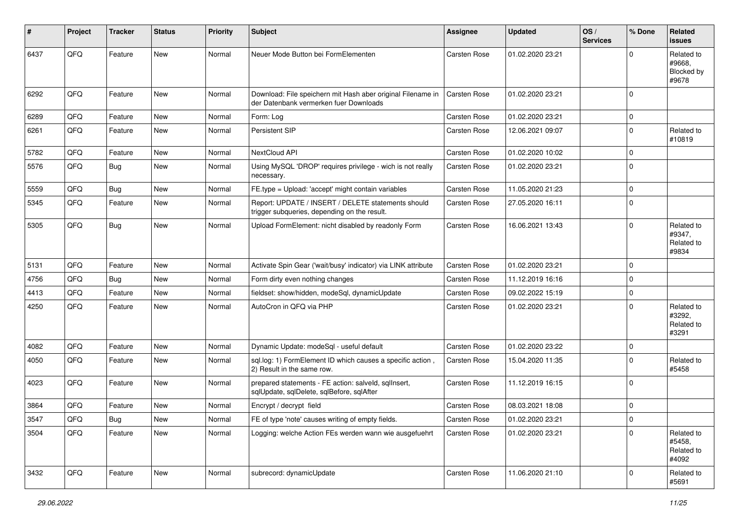| #    | Project | <b>Tracker</b> | <b>Status</b> | <b>Priority</b> | <b>Subject</b>                                                                                        | <b>Assignee</b>     | <b>Updated</b>   | OS/<br><b>Services</b> | % Done   | Related<br>issues                           |
|------|---------|----------------|---------------|-----------------|-------------------------------------------------------------------------------------------------------|---------------------|------------------|------------------------|----------|---------------------------------------------|
| 6437 | QFQ     | Feature        | <b>New</b>    | Normal          | Neuer Mode Button bei FormElementen                                                                   | Carsten Rose        | 01.02.2020 23:21 |                        | $\Omega$ | Related to<br>#9668.<br>Blocked by<br>#9678 |
| 6292 | QFQ     | Feature        | <b>New</b>    | Normal          | Download: File speichern mit Hash aber original Filename in<br>der Datenbank vermerken fuer Downloads | Carsten Rose        | 01.02.2020 23:21 |                        | $\Omega$ |                                             |
| 6289 | QFQ     | Feature        | <b>New</b>    | Normal          | Form: Log                                                                                             | <b>Carsten Rose</b> | 01.02.2020 23:21 |                        | $\Omega$ |                                             |
| 6261 | QFQ     | Feature        | New           | Normal          | Persistent SIP                                                                                        | Carsten Rose        | 12.06.2021 09:07 |                        | $\Omega$ | Related to<br>#10819                        |
| 5782 | QFQ     | Feature        | <b>New</b>    | Normal          | NextCloud API                                                                                         | <b>Carsten Rose</b> | 01.02.2020 10:02 |                        | $\Omega$ |                                             |
| 5576 | QFQ     | Bug            | New           | Normal          | Using MySQL 'DROP' requires privilege - wich is not really<br>necessary.                              | <b>Carsten Rose</b> | 01.02.2020 23:21 |                        | $\Omega$ |                                             |
| 5559 | QFQ     | Bug            | <b>New</b>    | Normal          | FE.type = Upload: 'accept' might contain variables                                                    | <b>Carsten Rose</b> | 11.05.2020 21:23 |                        | $\Omega$ |                                             |
| 5345 | QFQ     | Feature        | New           | Normal          | Report: UPDATE / INSERT / DELETE statements should<br>trigger subqueries, depending on the result.    | Carsten Rose        | 27.05.2020 16:11 |                        | $\Omega$ |                                             |
| 5305 | QFQ     | <b>Bug</b>     | <b>New</b>    | Normal          | Upload FormElement: nicht disabled by readonly Form                                                   | <b>Carsten Rose</b> | 16.06.2021 13:43 |                        | $\Omega$ | Related to<br>#9347,<br>Related to<br>#9834 |
| 5131 | QFQ     | Feature        | <b>New</b>    | Normal          | Activate Spin Gear ('wait/busy' indicator) via LINK attribute                                         | <b>Carsten Rose</b> | 01.02.2020 23:21 |                        | $\Omega$ |                                             |
| 4756 | QFQ     | Bug            | New           | Normal          | Form dirty even nothing changes                                                                       | Carsten Rose        | 11.12.2019 16:16 |                        | $\Omega$ |                                             |
| 4413 | QFQ     | Feature        | New           | Normal          | fieldset: show/hidden, modeSql, dynamicUpdate                                                         | <b>Carsten Rose</b> | 09.02.2022 15:19 |                        | $\Omega$ |                                             |
| 4250 | QFQ     | Feature        | <b>New</b>    | Normal          | AutoCron in QFQ via PHP                                                                               | <b>Carsten Rose</b> | 01.02.2020 23:21 |                        | $\Omega$ | Related to<br>#3292,<br>Related to<br>#3291 |
| 4082 | QFQ     | Feature        | New           | Normal          | Dynamic Update: modeSql - useful default                                                              | <b>Carsten Rose</b> | 01.02.2020 23:22 |                        | $\Omega$ |                                             |
| 4050 | QFQ     | Feature        | New           | Normal          | sql.log: 1) FormElement ID which causes a specific action,<br>2) Result in the same row.              | Carsten Rose        | 15.04.2020 11:35 |                        | $\Omega$ | Related to<br>#5458                         |
| 4023 | QFQ     | Feature        | <b>New</b>    | Normal          | prepared statements - FE action: salveld, sqllnsert,<br>sqlUpdate, sqlDelete, sqlBefore, sqlAfter     | Carsten Rose        | 11.12.2019 16:15 |                        | $\Omega$ |                                             |
| 3864 | QFQ     | Feature        | <b>New</b>    | Normal          | Encrypt / decrypt field                                                                               | Carsten Rose        | 08.03.2021 18:08 |                        | $\Omega$ |                                             |
| 3547 | QFG     | <b>Bug</b>     | New           | Normal          | FE of type 'note' causes writing of empty fields.                                                     | Carsten Rose        | 01.02.2020 23:21 |                        | 0        |                                             |
| 3504 | QFQ     | Feature        | New           | Normal          | Logging: welche Action FEs werden wann wie ausgefuehrt                                                | Carsten Rose        | 01.02.2020 23:21 |                        | $\Omega$ | Related to<br>#5458,<br>Related to<br>#4092 |
| 3432 | QFQ     | Feature        | New           | Normal          | subrecord: dynamicUpdate                                                                              | Carsten Rose        | 11.06.2020 21:10 |                        | 0        | Related to<br>#5691                         |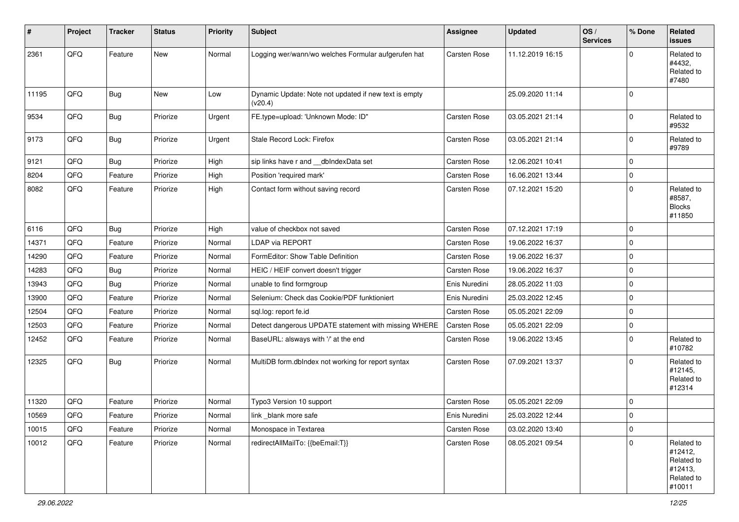| #     | Project        | <b>Tracker</b> | <b>Status</b> | <b>Priority</b> | <b>Subject</b>                                                   | <b>Assignee</b>     | <b>Updated</b>   | OS/<br><b>Services</b> | % Done      | Related<br><b>issues</b>                                               |
|-------|----------------|----------------|---------------|-----------------|------------------------------------------------------------------|---------------------|------------------|------------------------|-------------|------------------------------------------------------------------------|
| 2361  | QFQ            | Feature        | New           | Normal          | Logging wer/wann/wo welches Formular aufgerufen hat              | Carsten Rose        | 11.12.2019 16:15 |                        | $\mathbf 0$ | Related to<br>#4432.<br>Related to<br>#7480                            |
| 11195 | QFQ            | Bug            | <b>New</b>    | Low             | Dynamic Update: Note not updated if new text is empty<br>(v20.4) |                     | 25.09.2020 11:14 |                        | $\mathbf 0$ |                                                                        |
| 9534  | QFQ            | <b>Bug</b>     | Priorize      | Urgent          | FE.type=upload: 'Unknown Mode: ID"                               | Carsten Rose        | 03.05.2021 21:14 |                        | $\pmb{0}$   | Related to<br>#9532                                                    |
| 9173  | QFQ            | Bug            | Priorize      | Urgent          | Stale Record Lock: Firefox                                       | Carsten Rose        | 03.05.2021 21:14 |                        | $\mathbf 0$ | Related to<br>#9789                                                    |
| 9121  | QFQ            | Bug            | Priorize      | High            | sip links have r and __dbIndexData set                           | Carsten Rose        | 12.06.2021 10:41 |                        | $\mathbf 0$ |                                                                        |
| 8204  | QFQ            | Feature        | Priorize      | High            | Position 'required mark'                                         | Carsten Rose        | 16.06.2021 13:44 |                        | $\pmb{0}$   |                                                                        |
| 8082  | QFQ            | Feature        | Priorize      | High            | Contact form without saving record                               | Carsten Rose        | 07.12.2021 15:20 |                        | $\mathbf 0$ | Related to<br>#8587,<br><b>Blocks</b><br>#11850                        |
| 6116  | QFQ            | Bug            | Priorize      | High            | value of checkbox not saved                                      | Carsten Rose        | 07.12.2021 17:19 |                        | $\mathbf 0$ |                                                                        |
| 14371 | QFQ            | Feature        | Priorize      | Normal          | <b>LDAP via REPORT</b>                                           | Carsten Rose        | 19.06.2022 16:37 |                        | $\pmb{0}$   |                                                                        |
| 14290 | QFQ            | Feature        | Priorize      | Normal          | FormEditor: Show Table Definition                                | Carsten Rose        | 19.06.2022 16:37 |                        | $\mathbf 0$ |                                                                        |
| 14283 | QFQ            | <b>Bug</b>     | Priorize      | Normal          | HEIC / HEIF convert doesn't trigger                              | Carsten Rose        | 19.06.2022 16:37 |                        | $\mathbf 0$ |                                                                        |
| 13943 | QFQ            | Bug            | Priorize      | Normal          | unable to find formgroup                                         | Enis Nuredini       | 28.05.2022 11:03 |                        | $\pmb{0}$   |                                                                        |
| 13900 | QFQ            | Feature        | Priorize      | Normal          | Selenium: Check das Cookie/PDF funktioniert                      | Enis Nuredini       | 25.03.2022 12:45 |                        | $\pmb{0}$   |                                                                        |
| 12504 | QFQ            | Feature        | Priorize      | Normal          | sql.log: report fe.id                                            | <b>Carsten Rose</b> | 05.05.2021 22:09 |                        | $\pmb{0}$   |                                                                        |
| 12503 | QFQ            | Feature        | Priorize      | Normal          | Detect dangerous UPDATE statement with missing WHERE             | Carsten Rose        | 05.05.2021 22:09 |                        | $\pmb{0}$   |                                                                        |
| 12452 | QFQ            | Feature        | Priorize      | Normal          | BaseURL: alsways with '/' at the end                             | Carsten Rose        | 19.06.2022 13:45 |                        | $\mathbf 0$ | Related to<br>#10782                                                   |
| 12325 | QFQ            | <b>Bug</b>     | Priorize      | Normal          | MultiDB form.dblndex not working for report syntax               | Carsten Rose        | 07.09.2021 13:37 |                        | $\mathbf 0$ | Related to<br>#12145,<br>Related to<br>#12314                          |
| 11320 | QFQ            | Feature        | Priorize      | Normal          | Typo3 Version 10 support                                         | Carsten Rose        | 05.05.2021 22:09 |                        | $\mathbf 0$ |                                                                        |
| 10569 | $\mathsf{QFQ}$ | Feature        | Priorize      | Normal          | link_blank more safe                                             | Enis Nuredini       | 25.03.2022 12:44 |                        | $\mathbf 0$ |                                                                        |
| 10015 | QFQ            | Feature        | Priorize      | Normal          | Monospace in Textarea                                            | Carsten Rose        | 03.02.2020 13:40 |                        | $\pmb{0}$   |                                                                        |
| 10012 | QFQ            | Feature        | Priorize      | Normal          | redirectAllMailTo: {{beEmail:T}}                                 | Carsten Rose        | 08.05.2021 09:54 |                        | $\mathbf 0$ | Related to<br>#12412,<br>Related to<br>#12413,<br>Related to<br>#10011 |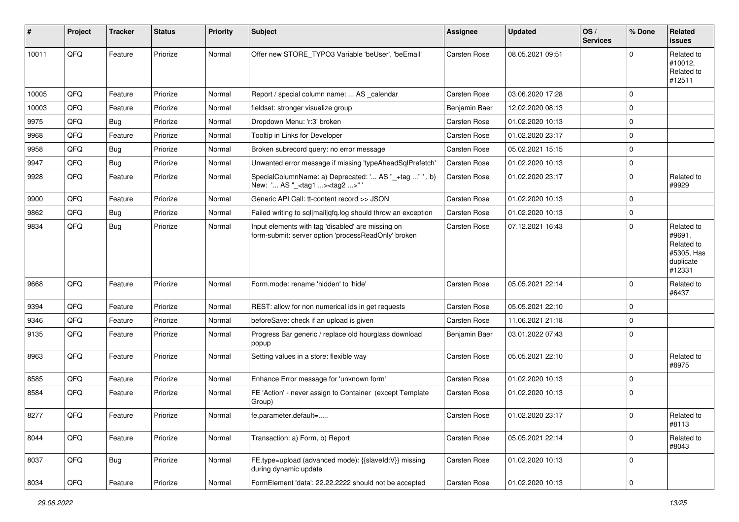| #     | Project | <b>Tracker</b> | <b>Status</b> | <b>Priority</b> | <b>Subject</b>                                                                                           | <b>Assignee</b>     | <b>Updated</b>   | OS/<br><b>Services</b> | % Done      | Related<br><b>issues</b>                                                |
|-------|---------|----------------|---------------|-----------------|----------------------------------------------------------------------------------------------------------|---------------------|------------------|------------------------|-------------|-------------------------------------------------------------------------|
| 10011 | QFQ     | Feature        | Priorize      | Normal          | Offer new STORE_TYPO3 Variable 'beUser', 'beEmail'                                                       | <b>Carsten Rose</b> | 08.05.2021 09:51 |                        | $\Omega$    | Related to<br>#10012,<br>Related to<br>#12511                           |
| 10005 | QFQ     | Feature        | Priorize      | Normal          | Report / special column name:  AS _calendar                                                              | <b>Carsten Rose</b> | 03.06.2020 17:28 |                        | $\Omega$    |                                                                         |
| 10003 | QFQ     | Feature        | Priorize      | Normal          | fieldset: stronger visualize group                                                                       | Benjamin Baer       | 12.02.2020 08:13 |                        | $\mathbf 0$ |                                                                         |
| 9975  | QFQ     | <b>Bug</b>     | Priorize      | Normal          | Dropdown Menu: 'r:3' broken                                                                              | <b>Carsten Rose</b> | 01.02.2020 10:13 |                        | 0           |                                                                         |
| 9968  | QFQ     | Feature        | Priorize      | Normal          | Tooltip in Links for Developer                                                                           | Carsten Rose        | 01.02.2020 23:17 |                        | $\Omega$    |                                                                         |
| 9958  | QFQ     | Bug            | Priorize      | Normal          | Broken subrecord query: no error message                                                                 | Carsten Rose        | 05.02.2021 15:15 |                        | $\mathbf 0$ |                                                                         |
| 9947  | QFQ     | <b>Bug</b>     | Priorize      | Normal          | Unwanted error message if missing 'typeAheadSqlPrefetch'                                                 | <b>Carsten Rose</b> | 01.02.2020 10:13 |                        | $\mathbf 0$ |                                                                         |
| 9928  | QFQ     | Feature        | Priorize      | Normal          | SpecialColumnName: a) Deprecated: ' AS "_+tag " ', b)<br>New: ' AS "_ <tag1><tag2>"'</tag2></tag1>       | Carsten Rose        | 01.02.2020 23:17 |                        | $\mathbf 0$ | Related to<br>#9929                                                     |
| 9900  | QFQ     | Feature        | Priorize      | Normal          | Generic API Call: tt-content record >> JSON                                                              | Carsten Rose        | 01.02.2020 10:13 |                        | $\Omega$    |                                                                         |
| 9862  | QFQ     | <b>Bug</b>     | Priorize      | Normal          | Failed writing to sql mail qfq.log should throw an exception                                             | <b>Carsten Rose</b> | 01.02.2020 10:13 |                        | $\mathbf 0$ |                                                                         |
| 9834  | QFQ     | <b>Bug</b>     | Priorize      | Normal          | Input elements with tag 'disabled' are missing on<br>form-submit: server option 'processReadOnly' broken | Carsten Rose        | 07.12.2021 16:43 |                        | $\Omega$    | Related to<br>#9691,<br>Related to<br>#5305, Has<br>duplicate<br>#12331 |
| 9668  | QFQ     | Feature        | Priorize      | Normal          | Form.mode: rename 'hidden' to 'hide'                                                                     | Carsten Rose        | 05.05.2021 22:14 |                        | $\Omega$    | Related to<br>#6437                                                     |
| 9394  | QFQ     | Feature        | Priorize      | Normal          | REST: allow for non numerical ids in get requests                                                        | Carsten Rose        | 05.05.2021 22:10 |                        | $\mathbf 0$ |                                                                         |
| 9346  | QFQ     | Feature        | Priorize      | Normal          | beforeSave: check if an upload is given                                                                  | <b>Carsten Rose</b> | 11.06.2021 21:18 |                        | $\Omega$    |                                                                         |
| 9135  | QFQ     | Feature        | Priorize      | Normal          | Progress Bar generic / replace old hourglass download<br>popup                                           | Benjamin Baer       | 03.01.2022 07:43 |                        | $\Omega$    |                                                                         |
| 8963  | QFQ     | Feature        | Priorize      | Normal          | Setting values in a store: flexible way                                                                  | Carsten Rose        | 05.05.2021 22:10 |                        | $\Omega$    | Related to<br>#8975                                                     |
| 8585  | QFQ     | Feature        | Priorize      | Normal          | Enhance Error message for 'unknown form'                                                                 | <b>Carsten Rose</b> | 01.02.2020 10:13 |                        | $\mathbf 0$ |                                                                         |
| 8584  | QFQ     | Feature        | Priorize      | Normal          | FE 'Action' - never assign to Container (except Template<br>Group)                                       | <b>Carsten Rose</b> | 01.02.2020 10:13 |                        | $\mathbf 0$ |                                                                         |
| 8277  | QFQ     | Feature        | Priorize      | Normal          | fe.parameter.default=                                                                                    | Carsten Rose        | 01.02.2020 23:17 |                        | $\Omega$    | Related to<br>#8113                                                     |
| 8044  | QFQ     | Feature        | Priorize      | Normal          | Transaction: a) Form, b) Report                                                                          | Carsten Rose        | 05.05.2021 22:14 |                        | $\Omega$    | Related to<br>#8043                                                     |
| 8037  | QFQ     | Bug            | Priorize      | Normal          | FE.type=upload (advanced mode): {{slaveld:V}} missing<br>during dynamic update                           | Carsten Rose        | 01.02.2020 10:13 |                        | $\mathbf 0$ |                                                                         |
| 8034  | QFQ     | Feature        | Priorize      | Normal          | FormElement 'data': 22.22.2222 should not be accepted                                                    | Carsten Rose        | 01.02.2020 10:13 |                        | $\pmb{0}$   |                                                                         |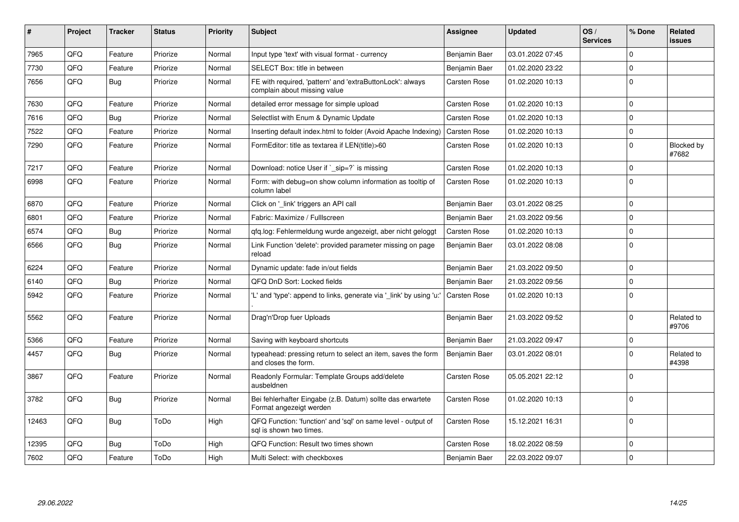| #     | <b>Project</b> | <b>Tracker</b> | <b>Status</b> | Priority | <b>Subject</b>                                                                            | Assignee            | <b>Updated</b>   | OS/<br><b>Services</b> | % Done      | Related<br><b>issues</b> |
|-------|----------------|----------------|---------------|----------|-------------------------------------------------------------------------------------------|---------------------|------------------|------------------------|-------------|--------------------------|
| 7965  | QFQ            | Feature        | Priorize      | Normal   | Input type 'text' with visual format - currency                                           | Benjamin Baer       | 03.01.2022 07:45 |                        | $\Omega$    |                          |
| 7730  | QFQ            | Feature        | Priorize      | Normal   | SELECT Box: title in between                                                              | Benjamin Baer       | 01.02.2020 23:22 |                        | $\mathbf 0$ |                          |
| 7656  | QFQ            | <b>Bug</b>     | Priorize      | Normal   | FE with required, 'pattern' and 'extraButtonLock': always<br>complain about missing value | Carsten Rose        | 01.02.2020 10:13 |                        | $\Omega$    |                          |
| 7630  | QFQ            | Feature        | Priorize      | Normal   | detailed error message for simple upload                                                  | <b>Carsten Rose</b> | 01.02.2020 10:13 |                        | $\mathbf 0$ |                          |
| 7616  | QFQ            | <b>Bug</b>     | Priorize      | Normal   | Selectlist with Enum & Dynamic Update                                                     | <b>Carsten Rose</b> | 01.02.2020 10:13 |                        | $\Omega$    |                          |
| 7522  | QFQ            | Feature        | Priorize      | Normal   | Inserting default index.html to folder (Avoid Apache Indexing)                            | Carsten Rose        | 01.02.2020 10:13 |                        | $\mathbf 0$ |                          |
| 7290  | QFQ            | Feature        | Priorize      | Normal   | FormEditor: title as textarea if LEN(title)>60                                            | Carsten Rose        | 01.02.2020 10:13 |                        | $\Omega$    | Blocked by<br>#7682      |
| 7217  | QFQ            | Feature        | Priorize      | Normal   | Download: notice User if `_sip=?` is missing                                              | <b>Carsten Rose</b> | 01.02.2020 10:13 |                        | $\mathbf 0$ |                          |
| 6998  | QFQ            | Feature        | Priorize      | Normal   | Form: with debug=on show column information as tooltip of<br>column label                 | <b>Carsten Rose</b> | 01.02.2020 10:13 |                        | $\Omega$    |                          |
| 6870  | QFQ            | Feature        | Priorize      | Normal   | Click on '_link' triggers an API call                                                     | Benjamin Baer       | 03.01.2022 08:25 |                        | $\mathbf 0$ |                          |
| 6801  | QFQ            | Feature        | Priorize      | Normal   | Fabric: Maximize / FullIscreen                                                            | Benjamin Baer       | 21.03.2022 09:56 |                        | $\Omega$    |                          |
| 6574  | QFQ            | Bug            | Priorize      | Normal   | qfq.log: Fehlermeldung wurde angezeigt, aber nicht geloggt                                | Carsten Rose        | 01.02.2020 10:13 |                        | $\Omega$    |                          |
| 6566  | QFQ            | Bug            | Priorize      | Normal   | Link Function 'delete': provided parameter missing on page<br>reload                      | Benjamin Baer       | 03.01.2022 08:08 |                        | $\mathbf 0$ |                          |
| 6224  | QFQ            | Feature        | Priorize      | Normal   | Dynamic update: fade in/out fields                                                        | Benjamin Baer       | 21.03.2022 09:50 |                        | $\Omega$    |                          |
| 6140  | QFQ            | <b>Bug</b>     | Priorize      | Normal   | QFQ DnD Sort: Locked fields                                                               | Benjamin Baer       | 21.03.2022 09:56 |                        | $\mathbf 0$ |                          |
| 5942  | QFQ            | Feature        | Priorize      | Normal   | 'L' and 'type': append to links, generate via '_link' by using 'u:'                       | Carsten Rose        | 01.02.2020 10:13 |                        | $\Omega$    |                          |
| 5562  | QFQ            | Feature        | Priorize      | Normal   | Drag'n'Drop fuer Uploads                                                                  | Benjamin Baer       | 21.03.2022 09:52 |                        | $\mathbf 0$ | Related to<br>#9706      |
| 5366  | QFQ            | Feature        | Priorize      | Normal   | Saving with keyboard shortcuts                                                            | Benjamin Baer       | 21.03.2022 09:47 |                        | $\mathbf 0$ |                          |
| 4457  | QFQ            | Bug            | Priorize      | Normal   | typeahead: pressing return to select an item, saves the form<br>and closes the form.      | Benjamin Baer       | 03.01.2022 08:01 |                        | $\mathbf 0$ | Related to<br>#4398      |
| 3867  | QFQ            | Feature        | Priorize      | Normal   | Readonly Formular: Template Groups add/delete<br>ausbeldnen                               | <b>Carsten Rose</b> | 05.05.2021 22:12 |                        | $\mathbf 0$ |                          |
| 3782  | QFQ            | Bug            | Priorize      | Normal   | Bei fehlerhafter Eingabe (z.B. Datum) sollte das erwartete<br>Format angezeigt werden     | <b>Carsten Rose</b> | 01.02.2020 10:13 |                        | $\Omega$    |                          |
| 12463 | QFQ            | Bug            | ToDo          | High     | QFQ Function: 'function' and 'sql' on same level - output of<br>sql is shown two times.   | <b>Carsten Rose</b> | 15.12.2021 16:31 |                        | $\mathbf 0$ |                          |
| 12395 | QFQ            | <b>Bug</b>     | ToDo          | High     | QFQ Function: Result two times shown                                                      | <b>Carsten Rose</b> | 18.02.2022 08:59 |                        | $\mathbf 0$ |                          |
| 7602  | QFQ            | Feature        | ToDo          | High     | Multi Select: with checkboxes                                                             | Benjamin Baer       | 22.03.2022 09:07 |                        | $\mathbf 0$ |                          |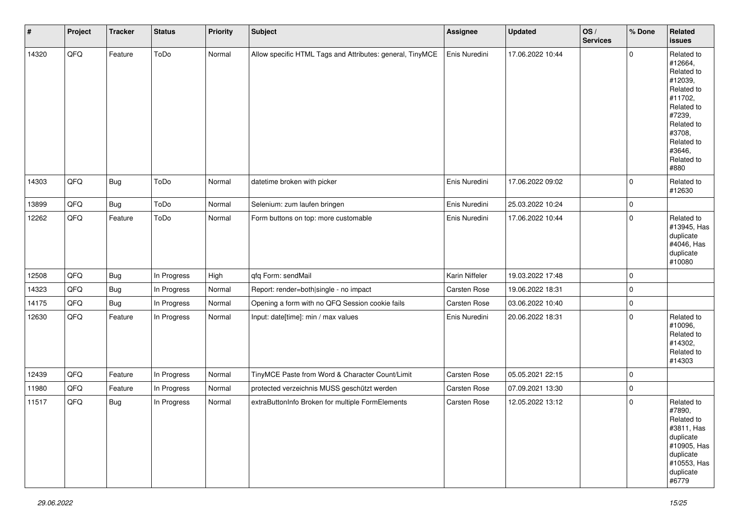| $\vert$ # | Project | <b>Tracker</b> | <b>Status</b> | <b>Priority</b> | <b>Subject</b>                                            | Assignee       | <b>Updated</b>   | $\log$<br><b>Services</b> | % Done      | Related<br><b>issues</b>                                                                                                                                              |
|-----------|---------|----------------|---------------|-----------------|-----------------------------------------------------------|----------------|------------------|---------------------------|-------------|-----------------------------------------------------------------------------------------------------------------------------------------------------------------------|
| 14320     | QFQ     | Feature        | ToDo          | Normal          | Allow specific HTML Tags and Attributes: general, TinyMCE | Enis Nuredini  | 17.06.2022 10:44 |                           | $\Omega$    | Related to<br>#12664,<br>Related to<br>#12039,<br>Related to<br>#11702,<br>Related to<br>#7239,<br>Related to<br>#3708,<br>Related to<br>#3646,<br>Related to<br>#880 |
| 14303     | QFQ     | Bug            | ToDo          | Normal          | datetime broken with picker                               | Enis Nuredini  | 17.06.2022 09:02 |                           | $\mathbf 0$ | Related to<br>#12630                                                                                                                                                  |
| 13899     | QFQ     | Bug            | ToDo          | Normal          | Selenium: zum laufen bringen                              | Enis Nuredini  | 25.03.2022 10:24 |                           | 0           |                                                                                                                                                                       |
| 12262     | QFQ     | Feature        | ToDo          | Normal          | Form buttons on top: more customable                      | Enis Nuredini  | 17.06.2022 10:44 |                           | $\Omega$    | Related to<br>#13945, Has<br>duplicate<br>#4046, Has<br>duplicate<br>#10080                                                                                           |
| 12508     | QFQ     | <b>Bug</b>     | In Progress   | High            | qfq Form: sendMail                                        | Karin Niffeler | 19.03.2022 17:48 |                           | $\mathbf 0$ |                                                                                                                                                                       |
| 14323     | QFQ     | Bug            | In Progress   | Normal          | Report: render=both single - no impact                    | Carsten Rose   | 19.06.2022 18:31 |                           | 0           |                                                                                                                                                                       |
| 14175     | QFQ     | <b>Bug</b>     | In Progress   | Normal          | Opening a form with no QFQ Session cookie fails           | Carsten Rose   | 03.06.2022 10:40 |                           | 0           |                                                                                                                                                                       |
| 12630     | QFQ     | Feature        | In Progress   | Normal          | Input: date[time]: min / max values                       | Enis Nuredini  | 20.06.2022 18:31 |                           | $\Omega$    | Related to<br>#10096,<br>Related to<br>#14302,<br>Related to<br>#14303                                                                                                |
| 12439     | QFQ     | Feature        | In Progress   | Normal          | TinyMCE Paste from Word & Character Count/Limit           | Carsten Rose   | 05.05.2021 22:15 |                           | 0           |                                                                                                                                                                       |
| 11980     | QFQ     | Feature        | In Progress   | Normal          | protected verzeichnis MUSS geschützt werden               | Carsten Rose   | 07.09.2021 13:30 |                           | $\mathbf 0$ |                                                                                                                                                                       |
| 11517     | QFQ     | Bug            | In Progress   | Normal          | extraButtonInfo Broken for multiple FormElements          | Carsten Rose   | 12.05.2022 13:12 |                           | $\mathbf 0$ | Related to<br>#7890,<br>Related to<br>#3811, Has<br>duplicate<br>#10905, Has<br>duplicate<br>#10553, Has<br>duplicate<br>#6779                                        |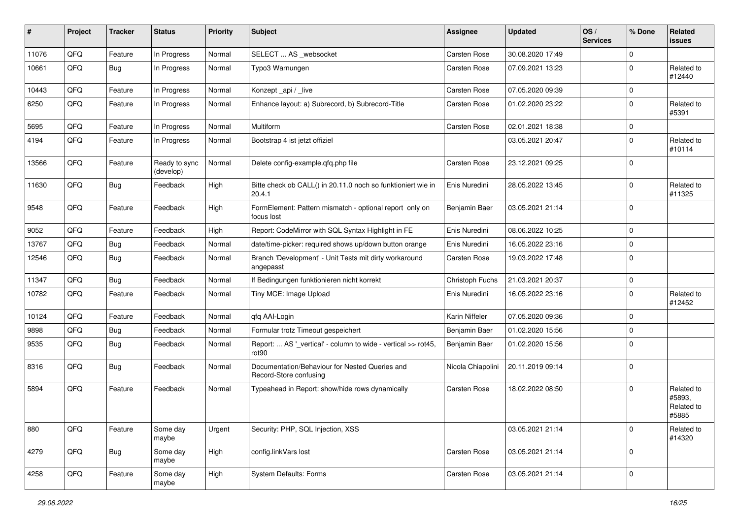| #     | Project | <b>Tracker</b> | <b>Status</b>              | <b>Priority</b> | Subject                                                                  | Assignee            | <b>Updated</b>   | OS/<br><b>Services</b> | % Done      | Related<br>issues                           |
|-------|---------|----------------|----------------------------|-----------------|--------------------------------------------------------------------------|---------------------|------------------|------------------------|-------------|---------------------------------------------|
| 11076 | QFQ     | Feature        | In Progress                | Normal          | SELECT  AS _websocket                                                    | Carsten Rose        | 30.08.2020 17:49 |                        | $\mathbf 0$ |                                             |
| 10661 | QFQ     | Bug            | In Progress                | Normal          | Typo3 Warnungen                                                          | Carsten Rose        | 07.09.2021 13:23 |                        | $\mathbf 0$ | Related to<br>#12440                        |
| 10443 | QFQ     | Feature        | In Progress                | Normal          | Konzept_api / _live                                                      | Carsten Rose        | 07.05.2020 09:39 |                        | $\mathbf 0$ |                                             |
| 6250  | QFQ     | Feature        | In Progress                | Normal          | Enhance layout: a) Subrecord, b) Subrecord-Title                         | Carsten Rose        | 01.02.2020 23:22 |                        | $\Omega$    | Related to<br>#5391                         |
| 5695  | QFQ     | Feature        | In Progress                | Normal          | Multiform                                                                | Carsten Rose        | 02.01.2021 18:38 |                        | $\mathbf 0$ |                                             |
| 4194  | QFQ     | Feature        | In Progress                | Normal          | Bootstrap 4 ist jetzt offiziel                                           |                     | 03.05.2021 20:47 |                        | $\Omega$    | Related to<br>#10114                        |
| 13566 | QFQ     | Feature        | Ready to sync<br>(develop) | Normal          | Delete config-example.qfq.php file                                       | Carsten Rose        | 23.12.2021 09:25 |                        | $\mathbf 0$ |                                             |
| 11630 | QFQ     | Bug            | Feedback                   | High            | Bitte check ob CALL() in 20.11.0 noch so funktioniert wie in<br>20.4.1   | Enis Nuredini       | 28.05.2022 13:45 |                        | $\mathbf 0$ | Related to<br>#11325                        |
| 9548  | QFQ     | Feature        | Feedback                   | High            | FormElement: Pattern mismatch - optional report only on<br>focus lost    | Benjamin Baer       | 03.05.2021 21:14 |                        | $\Omega$    |                                             |
| 9052  | QFQ     | Feature        | Feedback                   | High            | Report: CodeMirror with SQL Syntax Highlight in FE                       | Enis Nuredini       | 08.06.2022 10:25 |                        | $\mathbf 0$ |                                             |
| 13767 | QFQ     | Bug            | Feedback                   | Normal          | date/time-picker: required shows up/down button orange                   | Enis Nuredini       | 16.05.2022 23:16 |                        | $\mathbf 0$ |                                             |
| 12546 | QFQ     | Bug            | Feedback                   | Normal          | Branch 'Development' - Unit Tests mit dirty workaround<br>angepasst      | <b>Carsten Rose</b> | 19.03.2022 17:48 |                        | $\mathbf 0$ |                                             |
| 11347 | QFQ     | <b>Bug</b>     | Feedback                   | Normal          | If Bedingungen funktionieren nicht korrekt                               | Christoph Fuchs     | 21.03.2021 20:37 |                        | $\mathbf 0$ |                                             |
| 10782 | QFQ     | Feature        | Feedback                   | Normal          | Tiny MCE: Image Upload                                                   | Enis Nuredini       | 16.05.2022 23:16 |                        | $\Omega$    | Related to<br>#12452                        |
| 10124 | QFQ     | Feature        | Feedback                   | Normal          | qfq AAI-Login                                                            | Karin Niffeler      | 07.05.2020 09:36 |                        | $\mathbf 0$ |                                             |
| 9898  | QFQ     | <b>Bug</b>     | Feedback                   | Normal          | Formular trotz Timeout gespeichert                                       | Benjamin Baer       | 01.02.2020 15:56 |                        | $\Omega$    |                                             |
| 9535  | QFQ     | Bug            | Feedback                   | Normal          | Report:  AS '_vertical' - column to wide - vertical >> rot45,<br>rot90   | Benjamin Baer       | 01.02.2020 15:56 |                        | $\Omega$    |                                             |
| 8316  | QFQ     | Bug            | Feedback                   | Normal          | Documentation/Behaviour for Nested Queries and<br>Record-Store confusing | Nicola Chiapolini   | 20.11.2019 09:14 |                        | $\Omega$    |                                             |
| 5894  | QFQ     | Feature        | Feedback                   | Normal          | Typeahead in Report: show/hide rows dynamically                          | <b>Carsten Rose</b> | 18.02.2022 08:50 |                        | 0           | Related to<br>#5893,<br>Related to<br>#5885 |
| 880   | QFQ     | Feature        | Some day<br>maybe          | Urgent          | Security: PHP, SQL Injection, XSS                                        |                     | 03.05.2021 21:14 |                        | $\Omega$    | Related to<br>#14320                        |
| 4279  | QFQ     | <b>Bug</b>     | Some day<br>maybe          | High            | config.linkVars lost                                                     | Carsten Rose        | 03.05.2021 21:14 |                        | $\mathbf 0$ |                                             |
| 4258  | QFQ     | Feature        | Some day<br>maybe          | High            | System Defaults: Forms                                                   | Carsten Rose        | 03.05.2021 21:14 |                        | $\mathbf 0$ |                                             |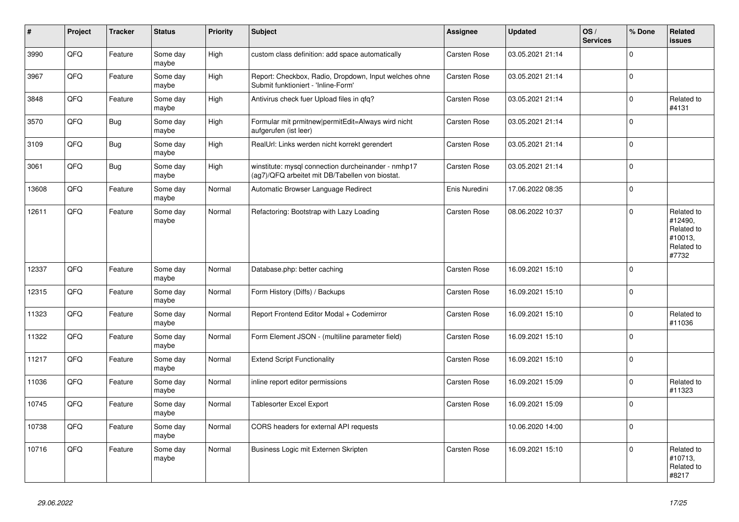| $\vert$ # | <b>Project</b> | <b>Tracker</b> | <b>Status</b>     | <b>Priority</b> | <b>Subject</b>                                                                                         | <b>Assignee</b>     | <b>Updated</b>   | OS/<br><b>Services</b> | % Done      | Related<br><b>issues</b>                                              |
|-----------|----------------|----------------|-------------------|-----------------|--------------------------------------------------------------------------------------------------------|---------------------|------------------|------------------------|-------------|-----------------------------------------------------------------------|
| 3990      | QFQ            | Feature        | Some day<br>maybe | High            | custom class definition: add space automatically                                                       | Carsten Rose        | 03.05.2021 21:14 |                        | $\Omega$    |                                                                       |
| 3967      | QFQ            | Feature        | Some day<br>maybe | High            | Report: Checkbox, Radio, Dropdown, Input welches ohne<br>Submit funktioniert - 'Inline-Form'           | <b>Carsten Rose</b> | 03.05.2021 21:14 |                        | $\Omega$    |                                                                       |
| 3848      | QFQ            | Feature        | Some day<br>maybe | High            | Antivirus check fuer Upload files in qfq?                                                              | Carsten Rose        | 03.05.2021 21:14 |                        | $\mathbf 0$ | Related to<br>#4131                                                   |
| 3570      | QFQ            | <b>Bug</b>     | Some day<br>maybe | High            | Formular mit prmitnew permitEdit=Always wird nicht<br>aufgerufen (ist leer)                            | Carsten Rose        | 03.05.2021 21:14 |                        | $\Omega$    |                                                                       |
| 3109      | QFQ            | <b>Bug</b>     | Some day<br>maybe | High            | RealUrl: Links werden nicht korrekt gerendert                                                          | Carsten Rose        | 03.05.2021 21:14 |                        | $\mathbf 0$ |                                                                       |
| 3061      | QFQ            | <b>Bug</b>     | Some day<br>maybe | High            | winstitute: mysql connection durcheinander - nmhp17<br>(ag7)/QFQ arbeitet mit DB/Tabellen von biostat. | Carsten Rose        | 03.05.2021 21:14 |                        | $\Omega$    |                                                                       |
| 13608     | QFQ            | Feature        | Some day<br>maybe | Normal          | Automatic Browser Language Redirect                                                                    | Enis Nuredini       | 17.06.2022 08:35 |                        | $\Omega$    |                                                                       |
| 12611     | QFQ            | Feature        | Some day<br>maybe | Normal          | Refactoring: Bootstrap with Lazy Loading                                                               | Carsten Rose        | 08.06.2022 10:37 |                        | $\Omega$    | Related to<br>#12490,<br>Related to<br>#10013,<br>Related to<br>#7732 |
| 12337     | QFQ            | Feature        | Some day<br>maybe | Normal          | Database.php: better caching                                                                           | Carsten Rose        | 16.09.2021 15:10 |                        | $\Omega$    |                                                                       |
| 12315     | QFQ            | Feature        | Some day<br>maybe | Normal          | Form History (Diffs) / Backups                                                                         | Carsten Rose        | 16.09.2021 15:10 |                        | $\mathbf 0$ |                                                                       |
| 11323     | QFQ            | Feature        | Some day<br>maybe | Normal          | Report Frontend Editor Modal + Codemirror                                                              | <b>Carsten Rose</b> | 16.09.2021 15:10 |                        | $\Omega$    | Related to<br>#11036                                                  |
| 11322     | QFQ            | Feature        | Some day<br>maybe | Normal          | Form Element JSON - (multiline parameter field)                                                        | Carsten Rose        | 16.09.2021 15:10 |                        | $\Omega$    |                                                                       |
| 11217     | QFQ            | Feature        | Some day<br>maybe | Normal          | <b>Extend Script Functionality</b>                                                                     | Carsten Rose        | 16.09.2021 15:10 |                        | $\Omega$    |                                                                       |
| 11036     | QFQ            | Feature        | Some day<br>maybe | Normal          | inline report editor permissions                                                                       | <b>Carsten Rose</b> | 16.09.2021 15:09 |                        | $\mathbf 0$ | Related to<br>#11323                                                  |
| 10745     | QFQ            | Feature        | Some day<br>maybe | Normal          | Tablesorter Excel Export                                                                               | Carsten Rose        | 16.09.2021 15:09 |                        | $\Omega$    |                                                                       |
| 10738     | QFQ            | Feature        | Some day<br>maybe | Normal          | CORS headers for external API requests                                                                 |                     | 10.06.2020 14:00 |                        | $\mathbf 0$ |                                                                       |
| 10716     | QFQ            | Feature        | Some day<br>maybe | Normal          | Business Logic mit Externen Skripten                                                                   | <b>Carsten Rose</b> | 16.09.2021 15:10 |                        | $\mathbf 0$ | Related to<br>#10713,<br>Related to<br>#8217                          |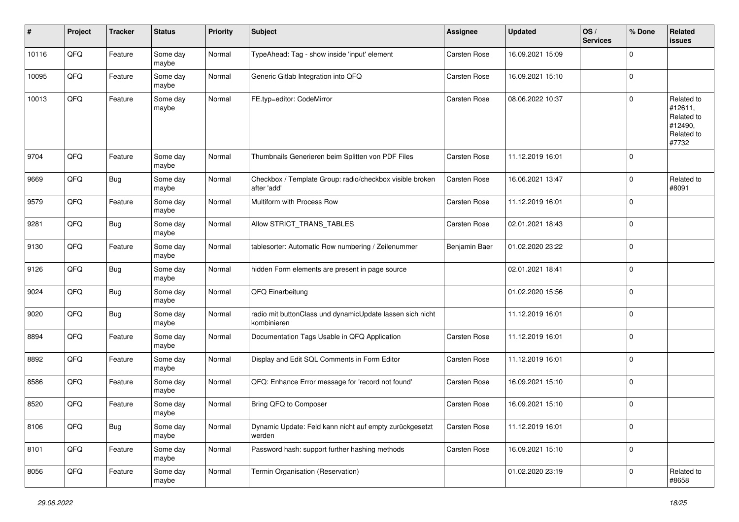| #     | Project | <b>Tracker</b> | <b>Status</b>     | <b>Priority</b> | <b>Subject</b>                                                           | <b>Assignee</b> | <b>Updated</b>   | OS/<br><b>Services</b> | % Done      | Related<br><b>issues</b>                                              |
|-------|---------|----------------|-------------------|-----------------|--------------------------------------------------------------------------|-----------------|------------------|------------------------|-------------|-----------------------------------------------------------------------|
| 10116 | QFQ     | Feature        | Some day<br>maybe | Normal          | TypeAhead: Tag - show inside 'input' element                             | Carsten Rose    | 16.09.2021 15:09 |                        | $\Omega$    |                                                                       |
| 10095 | QFQ     | Feature        | Some day<br>maybe | Normal          | Generic Gitlab Integration into QFQ                                      | Carsten Rose    | 16.09.2021 15:10 |                        | $\mathbf 0$ |                                                                       |
| 10013 | QFQ     | Feature        | Some day<br>maybe | Normal          | FE.typ=editor: CodeMirror                                                | Carsten Rose    | 08.06.2022 10:37 |                        | $\Omega$    | Related to<br>#12611,<br>Related to<br>#12490,<br>Related to<br>#7732 |
| 9704  | QFQ     | Feature        | Some day<br>maybe | Normal          | Thumbnails Generieren beim Splitten von PDF Files                        | Carsten Rose    | 11.12.2019 16:01 |                        | $\Omega$    |                                                                       |
| 9669  | QFQ     | <b>Bug</b>     | Some day<br>maybe | Normal          | Checkbox / Template Group: radio/checkbox visible broken<br>after 'add'  | Carsten Rose    | 16.06.2021 13:47 |                        | $\mathbf 0$ | Related to<br>#8091                                                   |
| 9579  | QFQ     | Feature        | Some day<br>maybe | Normal          | Multiform with Process Row                                               | Carsten Rose    | 11.12.2019 16:01 |                        | $\mathbf 0$ |                                                                       |
| 9281  | QFQ     | <b>Bug</b>     | Some day<br>maybe | Normal          | Allow STRICT_TRANS_TABLES                                                | Carsten Rose    | 02.01.2021 18:43 |                        | $\mathbf 0$ |                                                                       |
| 9130  | QFQ     | Feature        | Some day<br>maybe | Normal          | tablesorter: Automatic Row numbering / Zeilenummer                       | Benjamin Baer   | 01.02.2020 23:22 |                        | 0           |                                                                       |
| 9126  | QFQ     | Bug            | Some day<br>maybe | Normal          | hidden Form elements are present in page source                          |                 | 02.01.2021 18:41 |                        | $\mathbf 0$ |                                                                       |
| 9024  | QFQ     | Bug            | Some day<br>maybe | Normal          | QFQ Einarbeitung                                                         |                 | 01.02.2020 15:56 |                        | $\mathbf 0$ |                                                                       |
| 9020  | QFQ     | <b>Bug</b>     | Some day<br>maybe | Normal          | radio mit buttonClass und dynamicUpdate lassen sich nicht<br>kombinieren |                 | 11.12.2019 16:01 |                        | $\mathbf 0$ |                                                                       |
| 8894  | QFQ     | Feature        | Some day<br>maybe | Normal          | Documentation Tags Usable in QFQ Application                             | Carsten Rose    | 11.12.2019 16:01 |                        | $\mathbf 0$ |                                                                       |
| 8892  | QFQ     | Feature        | Some day<br>maybe | Normal          | Display and Edit SQL Comments in Form Editor                             | Carsten Rose    | 11.12.2019 16:01 |                        | $\mathbf 0$ |                                                                       |
| 8586  | QFQ     | Feature        | Some day<br>maybe | Normal          | QFQ: Enhance Error message for 'record not found'                        | Carsten Rose    | 16.09.2021 15:10 |                        | $\mathbf 0$ |                                                                       |
| 8520  | QFQ     | Feature        | Some day<br>maybe | Normal          | Bring QFQ to Composer                                                    | Carsten Rose    | 16.09.2021 15:10 |                        | $\mathbf 0$ |                                                                       |
| 8106  | QFQ     | <b>Bug</b>     | Some day<br>maybe | Normal          | Dynamic Update: Feld kann nicht auf empty zurückgesetzt<br>werden        | Carsten Rose    | 11.12.2019 16:01 |                        | $\mathbf 0$ |                                                                       |
| 8101  | QFQ     | Feature        | Some day<br>maybe | Normal          | Password hash: support further hashing methods                           | Carsten Rose    | 16.09.2021 15:10 |                        | $\mathbf 0$ |                                                                       |
| 8056  | QFQ     | Feature        | Some day<br>maybe | Normal          | Termin Organisation (Reservation)                                        |                 | 01.02.2020 23:19 |                        | $\mathbf 0$ | Related to<br>#8658                                                   |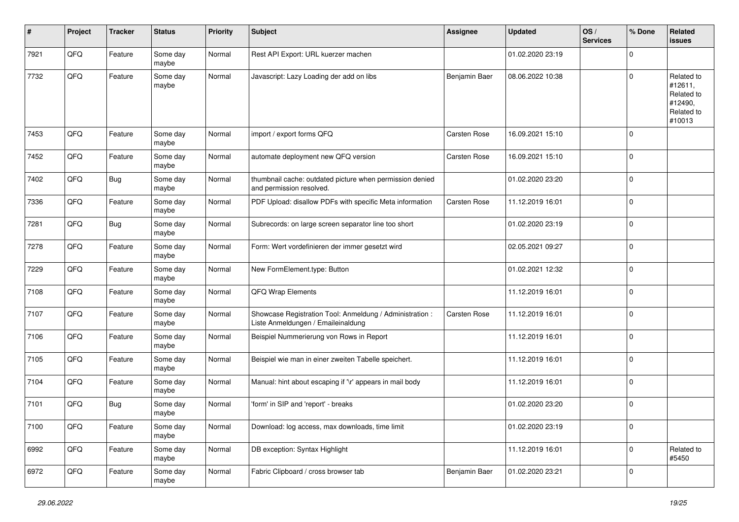| ∦    | Project | <b>Tracker</b> | <b>Status</b>     | <b>Priority</b> | <b>Subject</b>                                                                                 | <b>Assignee</b>     | <b>Updated</b>   | OS/<br><b>Services</b> | % Done      | Related<br><b>issues</b>                                               |
|------|---------|----------------|-------------------|-----------------|------------------------------------------------------------------------------------------------|---------------------|------------------|------------------------|-------------|------------------------------------------------------------------------|
| 7921 | QFQ     | Feature        | Some day<br>maybe | Normal          | Rest API Export: URL kuerzer machen                                                            |                     | 01.02.2020 23:19 |                        | $\Omega$    |                                                                        |
| 7732 | QFQ     | Feature        | Some day<br>maybe | Normal          | Javascript: Lazy Loading der add on libs                                                       | Benjamin Baer       | 08.06.2022 10:38 |                        | $\Omega$    | Related to<br>#12611.<br>Related to<br>#12490,<br>Related to<br>#10013 |
| 7453 | QFQ     | Feature        | Some day<br>maybe | Normal          | import / export forms QFQ                                                                      | <b>Carsten Rose</b> | 16.09.2021 15:10 |                        | $\mathbf 0$ |                                                                        |
| 7452 | QFQ     | Feature        | Some day<br>maybe | Normal          | automate deployment new QFQ version                                                            | Carsten Rose        | 16.09.2021 15:10 |                        | $\Omega$    |                                                                        |
| 7402 | QFQ     | Bug            | Some day<br>maybe | Normal          | thumbnail cache: outdated picture when permission denied<br>and permission resolved.           |                     | 01.02.2020 23:20 |                        | $\mathbf 0$ |                                                                        |
| 7336 | QFQ     | Feature        | Some day<br>maybe | Normal          | PDF Upload: disallow PDFs with specific Meta information                                       | <b>Carsten Rose</b> | 11.12.2019 16:01 |                        | $\mathbf 0$ |                                                                        |
| 7281 | QFQ     | <b>Bug</b>     | Some day<br>maybe | Normal          | Subrecords: on large screen separator line too short                                           |                     | 01.02.2020 23:19 |                        | $\mathbf 0$ |                                                                        |
| 7278 | QFQ     | Feature        | Some day<br>maybe | Normal          | Form: Wert vordefinieren der immer gesetzt wird                                                |                     | 02.05.2021 09:27 |                        | $\mathbf 0$ |                                                                        |
| 7229 | QFQ     | Feature        | Some day<br>maybe | Normal          | New FormElement.type: Button                                                                   |                     | 01.02.2021 12:32 |                        | $\mathbf 0$ |                                                                        |
| 7108 | QFQ     | Feature        | Some day<br>maybe | Normal          | QFQ Wrap Elements                                                                              |                     | 11.12.2019 16:01 |                        | $\mathbf 0$ |                                                                        |
| 7107 | QFQ     | Feature        | Some day<br>maybe | Normal          | Showcase Registration Tool: Anmeldung / Administration :<br>Liste Anmeldungen / Emaileinaldung | Carsten Rose        | 11.12.2019 16:01 |                        | $\Omega$    |                                                                        |
| 7106 | QFQ     | Feature        | Some day<br>maybe | Normal          | Beispiel Nummerierung von Rows in Report                                                       |                     | 11.12.2019 16:01 |                        | $\mathbf 0$ |                                                                        |
| 7105 | QFQ     | Feature        | Some day<br>maybe | Normal          | Beispiel wie man in einer zweiten Tabelle speichert.                                           |                     | 11.12.2019 16:01 |                        | $\mathbf 0$ |                                                                        |
| 7104 | QFQ     | Feature        | Some day<br>maybe | Normal          | Manual: hint about escaping if '\r' appears in mail body                                       |                     | 11.12.2019 16:01 |                        | $\mathbf 0$ |                                                                        |
| 7101 | QFQ     | Bug            | Some day<br>maybe | Normal          | 'form' in SIP and 'report' - breaks                                                            |                     | 01.02.2020 23:20 |                        | 0           |                                                                        |
| 7100 | QFO     | Feature        | Some day<br>maybe | Normal          | Download: log access, max downloads, time limit                                                |                     | 01.02.2020 23:19 |                        | $\mathbf 0$ |                                                                        |
| 6992 | QFO     | Feature        | Some day<br>maybe | Normal          | DB exception: Syntax Highlight                                                                 |                     | 11.12.2019 16:01 |                        | $\mathbf 0$ | Related to<br>#5450                                                    |
| 6972 | QFG     | Feature        | Some day<br>maybe | Normal          | Fabric Clipboard / cross browser tab                                                           | Benjamin Baer       | 01.02.2020 23:21 |                        | $\mathbf 0$ |                                                                        |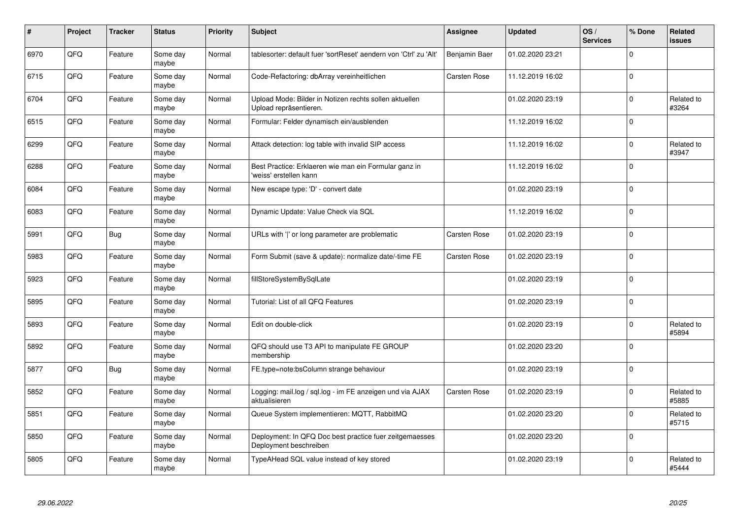| #    | Project | <b>Tracker</b> | <b>Status</b>     | <b>Priority</b> | <b>Subject</b>                                                                    | <b>Assignee</b>     | <b>Updated</b>   | OS/<br><b>Services</b> | % Done      | Related<br><b>issues</b> |
|------|---------|----------------|-------------------|-----------------|-----------------------------------------------------------------------------------|---------------------|------------------|------------------------|-------------|--------------------------|
| 6970 | QFQ     | Feature        | Some day<br>maybe | Normal          | tablesorter: default fuer 'sortReset' aendern von 'Ctrl' zu 'Alt'                 | Benjamin Baer       | 01.02.2020 23:21 |                        | $\Omega$    |                          |
| 6715 | QFQ     | Feature        | Some day<br>maybe | Normal          | Code-Refactoring: dbArray vereinheitlichen                                        | <b>Carsten Rose</b> | 11.12.2019 16:02 |                        | $\Omega$    |                          |
| 6704 | QFQ     | Feature        | Some day<br>maybe | Normal          | Upload Mode: Bilder in Notizen rechts sollen aktuellen<br>Upload repräsentieren.  |                     | 01.02.2020 23:19 |                        | $\mathbf 0$ | Related to<br>#3264      |
| 6515 | QFQ     | Feature        | Some day<br>maybe | Normal          | Formular: Felder dynamisch ein/ausblenden                                         |                     | 11.12.2019 16:02 |                        | $\Omega$    |                          |
| 6299 | QFQ     | Feature        | Some day<br>maybe | Normal          | Attack detection: log table with invalid SIP access                               |                     | 11.12.2019 16:02 |                        | $\mathbf 0$ | Related to<br>#3947      |
| 6288 | QFQ     | Feature        | Some day<br>maybe | Normal          | Best Practice: Erklaeren wie man ein Formular ganz in<br>'weiss' erstellen kann   |                     | 11.12.2019 16:02 |                        | $\mathbf 0$ |                          |
| 6084 | QFQ     | Feature        | Some day<br>maybe | Normal          | New escape type: 'D' - convert date                                               |                     | 01.02.2020 23:19 |                        | $\mathbf 0$ |                          |
| 6083 | QFQ     | Feature        | Some day<br>maybe | Normal          | Dynamic Update: Value Check via SQL                                               |                     | 11.12.2019 16:02 |                        | $\Omega$    |                          |
| 5991 | QFQ     | Bug            | Some day<br>maybe | Normal          | URLs with ' ' or long parameter are problematic                                   | <b>Carsten Rose</b> | 01.02.2020 23:19 |                        | $\mathbf 0$ |                          |
| 5983 | QFQ     | Feature        | Some day<br>maybe | Normal          | Form Submit (save & update): normalize date/-time FE                              | Carsten Rose        | 01.02.2020 23:19 |                        | $\mathbf 0$ |                          |
| 5923 | QFQ     | Feature        | Some day<br>maybe | Normal          | fillStoreSystemBySqlLate                                                          |                     | 01.02.2020 23:19 |                        | $\mathbf 0$ |                          |
| 5895 | QFQ     | Feature        | Some day<br>maybe | Normal          | Tutorial: List of all QFQ Features                                                |                     | 01.02.2020 23:19 |                        | $\mathbf 0$ |                          |
| 5893 | QFQ     | Feature        | Some day<br>maybe | Normal          | Edit on double-click                                                              |                     | 01.02.2020 23:19 |                        | $\mathbf 0$ | Related to<br>#5894      |
| 5892 | QFQ     | Feature        | Some day<br>maybe | Normal          | QFQ should use T3 API to manipulate FE GROUP<br>membership                        |                     | 01.02.2020 23:20 |                        | $\Omega$    |                          |
| 5877 | QFQ     | <b>Bug</b>     | Some day<br>maybe | Normal          | FE.type=note:bsColumn strange behaviour                                           |                     | 01.02.2020 23:19 |                        | $\Omega$    |                          |
| 5852 | QFQ     | Feature        | Some day<br>maybe | Normal          | Logging: mail.log / sql.log - im FE anzeigen und via AJAX<br>aktualisieren        | <b>Carsten Rose</b> | 01.02.2020 23:19 |                        | $\Omega$    | Related to<br>#5885      |
| 5851 | QFQ     | Feature        | Some day<br>maybe | Normal          | Queue System implementieren: MQTT, RabbitMQ                                       |                     | 01.02.2020 23:20 |                        | $\mathbf 0$ | Related to<br>#5715      |
| 5850 | QFQ     | Feature        | Some day<br>maybe | Normal          | Deployment: In QFQ Doc best practice fuer zeitgemaesses<br>Deployment beschreiben |                     | 01.02.2020 23:20 |                        | $\Omega$    |                          |
| 5805 | QFQ     | Feature        | Some day<br>maybe | Normal          | TypeAHead SQL value instead of key stored                                         |                     | 01.02.2020 23:19 |                        | $\Omega$    | Related to<br>#5444      |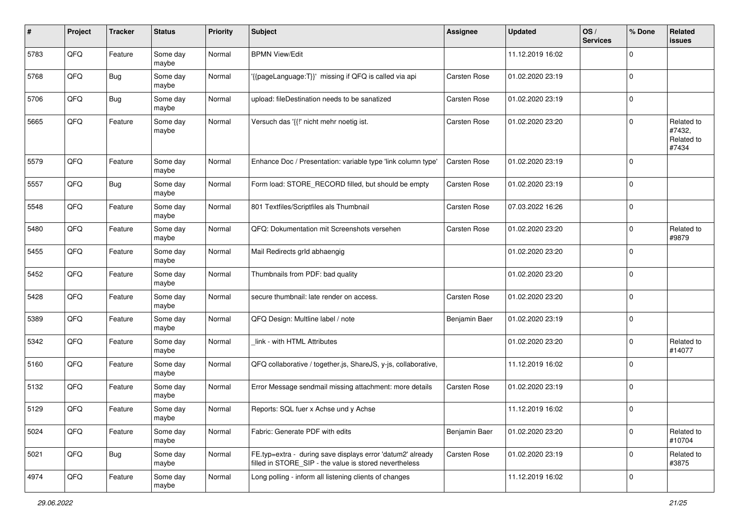| #    | Project | <b>Tracker</b> | <b>Status</b>     | <b>Priority</b> | <b>Subject</b>                                                                                                       | <b>Assignee</b>     | <b>Updated</b>   | OS/<br><b>Services</b> | % Done      | Related<br>issues                           |
|------|---------|----------------|-------------------|-----------------|----------------------------------------------------------------------------------------------------------------------|---------------------|------------------|------------------------|-------------|---------------------------------------------|
| 5783 | QFQ     | Feature        | Some day<br>maybe | Normal          | <b>BPMN View/Edit</b>                                                                                                |                     | 11.12.2019 16:02 |                        | $\Omega$    |                                             |
| 5768 | QFQ     | Bug            | Some day<br>maybe | Normal          | '{{pageLanguage:T}}' missing if QFQ is called via api                                                                | <b>Carsten Rose</b> | 01.02.2020 23:19 |                        | $\mathbf 0$ |                                             |
| 5706 | QFQ     | Bug            | Some day<br>maybe | Normal          | upload: fileDestination needs to be sanatized                                                                        | Carsten Rose        | 01.02.2020 23:19 |                        | $\Omega$    |                                             |
| 5665 | QFQ     | Feature        | Some day<br>maybe | Normal          | Versuch das '{{!' nicht mehr noetig ist.                                                                             | <b>Carsten Rose</b> | 01.02.2020 23:20 |                        | $\mathbf 0$ | Related to<br>#7432,<br>Related to<br>#7434 |
| 5579 | QFQ     | Feature        | Some day<br>maybe | Normal          | Enhance Doc / Presentation: variable type 'link column type'                                                         | Carsten Rose        | 01.02.2020 23:19 |                        | $\Omega$    |                                             |
| 5557 | QFQ     | Bug            | Some day<br>maybe | Normal          | Form load: STORE_RECORD filled, but should be empty                                                                  | Carsten Rose        | 01.02.2020 23:19 |                        | $\mathbf 0$ |                                             |
| 5548 | QFQ     | Feature        | Some day<br>maybe | Normal          | 801 Textfiles/Scriptfiles als Thumbnail                                                                              | Carsten Rose        | 07.03.2022 16:26 |                        | $\mathbf 0$ |                                             |
| 5480 | QFQ     | Feature        | Some day<br>maybe | Normal          | QFQ: Dokumentation mit Screenshots versehen                                                                          | Carsten Rose        | 01.02.2020 23:20 |                        | $\mathbf 0$ | Related to<br>#9879                         |
| 5455 | QFQ     | Feature        | Some day<br>maybe | Normal          | Mail Redirects grld abhaengig                                                                                        |                     | 01.02.2020 23:20 |                        | $\mathbf 0$ |                                             |
| 5452 | QFQ     | Feature        | Some day<br>maybe | Normal          | Thumbnails from PDF: bad quality                                                                                     |                     | 01.02.2020 23:20 |                        | $\mathbf 0$ |                                             |
| 5428 | QFQ     | Feature        | Some day<br>maybe | Normal          | secure thumbnail: late render on access.                                                                             | <b>Carsten Rose</b> | 01.02.2020 23:20 |                        | $\mathbf 0$ |                                             |
| 5389 | QFQ     | Feature        | Some day<br>maybe | Normal          | QFQ Design: Multline label / note                                                                                    | Benjamin Baer       | 01.02.2020 23:19 |                        | 0           |                                             |
| 5342 | QFQ     | Feature        | Some day<br>maybe | Normal          | link - with HTML Attributes                                                                                          |                     | 01.02.2020 23:20 |                        | $\mathbf 0$ | Related to<br>#14077                        |
| 5160 | QFQ     | Feature        | Some day<br>maybe | Normal          | QFQ collaborative / together.js, ShareJS, y-js, collaborative,                                                       |                     | 11.12.2019 16:02 |                        | $\Omega$    |                                             |
| 5132 | QFQ     | Feature        | Some day<br>maybe | Normal          | Error Message sendmail missing attachment: more details                                                              | <b>Carsten Rose</b> | 01.02.2020 23:19 |                        | $\mathbf 0$ |                                             |
| 5129 | QFQ     | Feature        | Some day<br>maybe | Normal          | Reports: SQL fuer x Achse und y Achse                                                                                |                     | 11.12.2019 16:02 |                        | $\mathbf 0$ |                                             |
| 5024 | QFQ     | Feature        | Some day<br>maybe | Normal          | Fabric: Generate PDF with edits                                                                                      | Benjamin Baer       | 01.02.2020 23:20 |                        | $\mathbf 0$ | Related to<br>#10704                        |
| 5021 | QFQ     | <b>Bug</b>     | Some day<br>maybe | Normal          | FE.typ=extra - during save displays error 'datum2' already<br>filled in STORE_SIP - the value is stored nevertheless | Carsten Rose        | 01.02.2020 23:19 |                        | $\mathbf 0$ | Related to<br>#3875                         |
| 4974 | QFQ     | Feature        | Some day<br>maybe | Normal          | Long polling - inform all listening clients of changes                                                               |                     | 11.12.2019 16:02 |                        | $\mathbf 0$ |                                             |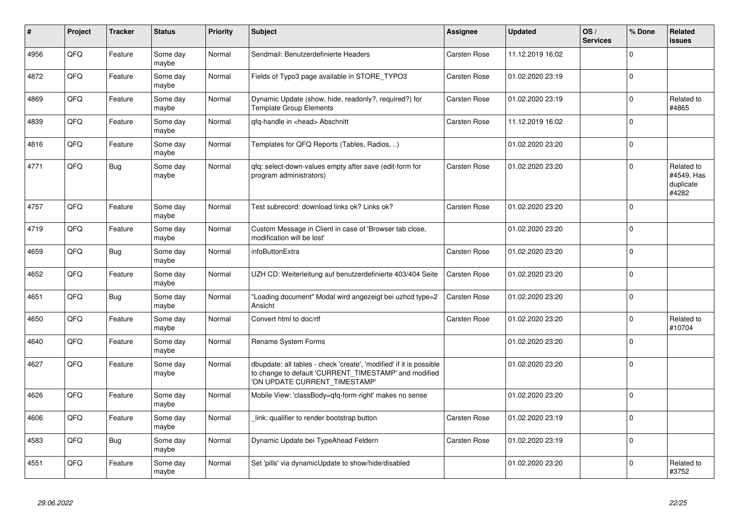| #    | Project | <b>Tracker</b> | <b>Status</b>     | <b>Priority</b> | <b>Subject</b>                                                                                                                                                | Assignee            | <b>Updated</b>   | OS/<br><b>Services</b> | % Done      | Related<br><b>issues</b>                       |
|------|---------|----------------|-------------------|-----------------|---------------------------------------------------------------------------------------------------------------------------------------------------------------|---------------------|------------------|------------------------|-------------|------------------------------------------------|
| 4956 | QFQ     | Feature        | Some day<br>maybe | Normal          | Sendmail: Benutzerdefinierte Headers                                                                                                                          | <b>Carsten Rose</b> | 11.12.2019 16:02 |                        | $\Omega$    |                                                |
| 4872 | QFQ     | Feature        | Some dav<br>maybe | Normal          | Fields of Typo3 page available in STORE TYPO3                                                                                                                 | Carsten Rose        | 01.02.2020 23:19 |                        | $\Omega$    |                                                |
| 4869 | QFQ     | Feature        | Some dav<br>maybe | Normal          | Dynamic Update (show, hide, readonly?, required?) for<br><b>Template Group Elements</b>                                                                       | <b>Carsten Rose</b> | 01.02.2020 23:19 |                        | $\Omega$    | Related to<br>#4865                            |
| 4839 | QFQ     | Feature        | Some day<br>maybe | Normal          | gfg-handle in <head> Abschnitt</head>                                                                                                                         | <b>Carsten Rose</b> | 11.12.2019 16:02 |                        | $\Omega$    |                                                |
| 4816 | QFQ     | Feature        | Some day<br>maybe | Normal          | Templates for QFQ Reports (Tables, Radios, )                                                                                                                  |                     | 01.02.2020 23:20 |                        | $\mathbf 0$ |                                                |
| 4771 | QFQ     | <b>Bug</b>     | Some day<br>maybe | Normal          | gfg: select-down-values empty after save (edit-form for<br>program administrators)                                                                            | <b>Carsten Rose</b> | 01.02.2020 23:20 |                        | $\Omega$    | Related to<br>#4549, Has<br>duplicate<br>#4282 |
| 4757 | QFQ     | Feature        | Some day<br>maybe | Normal          | Test subrecord: download links ok? Links ok?                                                                                                                  | <b>Carsten Rose</b> | 01.02.2020 23:20 |                        | $\Omega$    |                                                |
| 4719 | QFQ     | Feature        | Some day<br>maybe | Normal          | Custom Message in Client in case of 'Browser tab close,<br>modification will be lost'                                                                         |                     | 01.02.2020 23:20 |                        | $\Omega$    |                                                |
| 4659 | QFQ     | <b>Bug</b>     | Some day<br>maybe | Normal          | infoButtonExtra                                                                                                                                               | <b>Carsten Rose</b> | 01.02.2020 23:20 |                        | $\mathbf 0$ |                                                |
| 4652 | QFQ     | Feature        | Some day<br>maybe | Normal          | UZH CD: Weiterleitung auf benutzerdefinierte 403/404 Seite                                                                                                    | <b>Carsten Rose</b> | 01.02.2020 23:20 |                        | $\Omega$    |                                                |
| 4651 | QFQ     | Bug            | Some day<br>maybe | Normal          | "Loading document" Modal wird angezeigt bei uzhcd type=2<br>Ansicht                                                                                           | <b>Carsten Rose</b> | 01.02.2020 23:20 |                        | $\Omega$    |                                                |
| 4650 | QFQ     | Feature        | Some day<br>maybe | Normal          | Convert html to doc/rtf                                                                                                                                       | <b>Carsten Rose</b> | 01.02.2020 23:20 |                        | $\Omega$    | Related to<br>#10704                           |
| 4640 | QFQ     | Feature        | Some day<br>maybe | Normal          | Rename System Forms                                                                                                                                           |                     | 01.02.2020 23:20 |                        | $\Omega$    |                                                |
| 4627 | QFQ     | Feature        | Some day<br>maybe | Normal          | dbupdate: all tables - check 'create', 'modified' if it is possible<br>to change to default 'CURRENT TIMESTAMP' and modified<br>'ON UPDATE CURRENT_TIMESTAMP' |                     | 01.02.2020 23:20 |                        | $\Omega$    |                                                |
| 4626 | QFQ     | Feature        | Some day<br>maybe | Normal          | Mobile View: 'classBody=qfq-form-right' makes no sense                                                                                                        |                     | 01.02.2020 23:20 |                        | $\Omega$    |                                                |
| 4606 | QFQ     | Feature        | Some day<br>maybe | Normal          | link: qualifier to render bootstrap button                                                                                                                    | Carsten Rose        | 01.02.2020 23:19 |                        | $\Omega$    |                                                |
| 4583 | QFQ     | <b>Bug</b>     | Some day<br>maybe | Normal          | Dynamic Update bei TypeAhead Feldern                                                                                                                          | Carsten Rose        | 01.02.2020 23:19 |                        | $\mathbf 0$ |                                                |
| 4551 | QFQ     | Feature        | Some day<br>maybe | Normal          | Set 'pills' via dynamicUpdate to show/hide/disabled                                                                                                           |                     | 01.02.2020 23:20 |                        | $\Omega$    | Related to<br>#3752                            |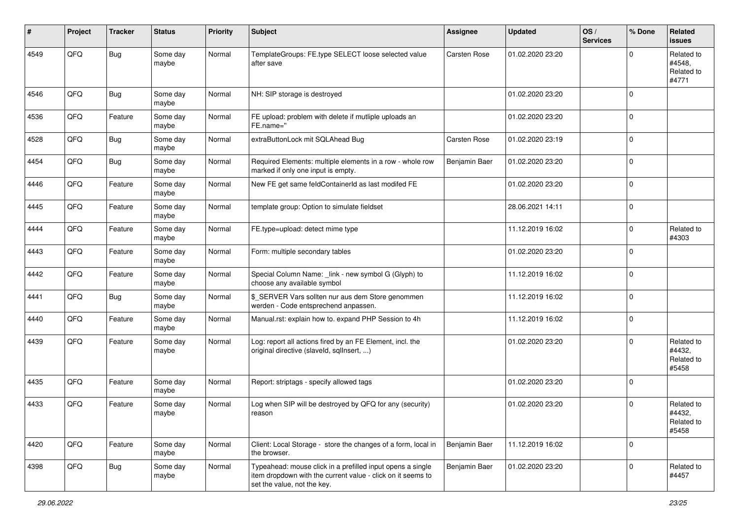| #    | Project | <b>Tracker</b> | <b>Status</b>     | <b>Priority</b> | <b>Subject</b>                                                                                                                                           | <b>Assignee</b>     | <b>Updated</b>   | OS/<br><b>Services</b> | % Done      | Related<br><b>issues</b>                    |
|------|---------|----------------|-------------------|-----------------|----------------------------------------------------------------------------------------------------------------------------------------------------------|---------------------|------------------|------------------------|-------------|---------------------------------------------|
| 4549 | QFQ     | <b>Bug</b>     | Some day<br>maybe | Normal          | TemplateGroups: FE.type SELECT loose selected value<br>after save                                                                                        | <b>Carsten Rose</b> | 01.02.2020 23:20 |                        | O           | Related to<br>#4548.<br>Related to<br>#4771 |
| 4546 | QFQ     | Bug            | Some day<br>maybe | Normal          | NH: SIP storage is destroyed                                                                                                                             |                     | 01.02.2020 23:20 |                        | $\Omega$    |                                             |
| 4536 | QFQ     | Feature        | Some day<br>maybe | Normal          | FE upload: problem with delete if mutliple uploads an<br>FE.name="                                                                                       |                     | 01.02.2020 23:20 |                        | $\mathbf 0$ |                                             |
| 4528 | QFQ     | Bug            | Some day<br>maybe | Normal          | extraButtonLock mit SQLAhead Bug                                                                                                                         | <b>Carsten Rose</b> | 01.02.2020 23:19 |                        | $\mathbf 0$ |                                             |
| 4454 | QFQ     | Bug            | Some day<br>maybe | Normal          | Required Elements: multiple elements in a row - whole row<br>marked if only one input is empty.                                                          | Benjamin Baer       | 01.02.2020 23:20 |                        | $\Omega$    |                                             |
| 4446 | QFQ     | Feature        | Some day<br>maybe | Normal          | New FE get same feldContainerId as last modifed FE                                                                                                       |                     | 01.02.2020 23:20 |                        | $\Omega$    |                                             |
| 4445 | QFQ     | Feature        | Some day<br>maybe | Normal          | template group: Option to simulate fieldset                                                                                                              |                     | 28.06.2021 14:11 |                        | $\mathbf 0$ |                                             |
| 4444 | QFQ     | Feature        | Some day<br>maybe | Normal          | FE.type=upload: detect mime type                                                                                                                         |                     | 11.12.2019 16:02 |                        | $\Omega$    | Related to<br>#4303                         |
| 4443 | QFQ     | Feature        | Some day<br>maybe | Normal          | Form: multiple secondary tables                                                                                                                          |                     | 01.02.2020 23:20 |                        | $\Omega$    |                                             |
| 4442 | QFQ     | Feature        | Some day<br>maybe | Normal          | Special Column Name: _link - new symbol G (Glyph) to<br>choose any available symbol                                                                      |                     | 11.12.2019 16:02 |                        | $\mathbf 0$ |                                             |
| 4441 | QFQ     | <b>Bug</b>     | Some day<br>maybe | Normal          | \$_SERVER Vars sollten nur aus dem Store genommen<br>werden - Code entsprechend anpassen.                                                                |                     | 11.12.2019 16:02 |                        | $\mathbf 0$ |                                             |
| 4440 | QFQ     | Feature        | Some day<br>maybe | Normal          | Manual.rst: explain how to. expand PHP Session to 4h                                                                                                     |                     | 11.12.2019 16:02 |                        | $\mathbf 0$ |                                             |
| 4439 | QFQ     | Feature        | Some day<br>maybe | Normal          | Log: report all actions fired by an FE Element, incl. the<br>original directive (slaveld, sqllnsert, )                                                   |                     | 01.02.2020 23:20 |                        | $\Omega$    | Related to<br>#4432,<br>Related to<br>#5458 |
| 4435 | QFQ     | Feature        | Some day<br>maybe | Normal          | Report: striptags - specify allowed tags                                                                                                                 |                     | 01.02.2020 23:20 |                        | l 0         |                                             |
| 4433 | QFQ     | Feature        | Some day<br>maybe | Normal          | Log when SIP will be destroyed by QFQ for any (security)<br>reason                                                                                       |                     | 01.02.2020 23:20 |                        | $\Omega$    | Related to<br>#4432,<br>Related to<br>#5458 |
| 4420 | QFQ     | Feature        | Some day<br>maybe | Normal          | Client: Local Storage - store the changes of a form, local in<br>the browser.                                                                            | Benjamin Baer       | 11.12.2019 16:02 |                        | 0           |                                             |
| 4398 | QFQ     | Bug            | Some day<br>maybe | Normal          | Typeahead: mouse click in a prefilled input opens a single<br>item dropdown with the current value - click on it seems to<br>set the value, not the key. | Benjamin Baer       | 01.02.2020 23:20 |                        | $\Omega$    | Related to<br>#4457                         |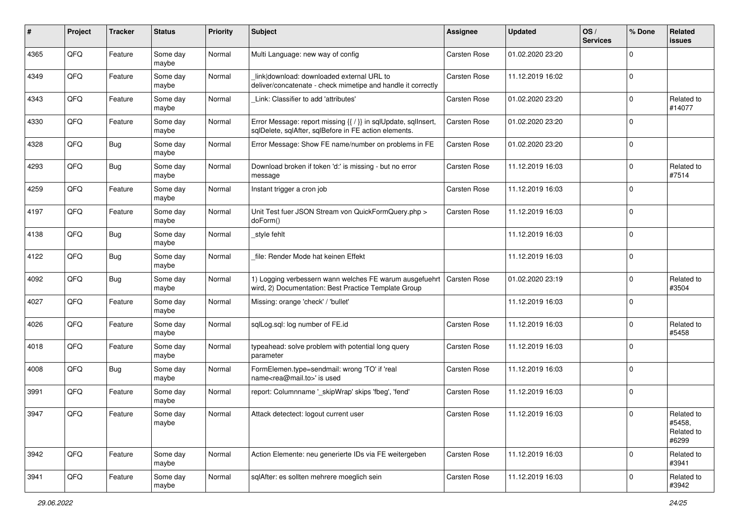| $\#$ | Project | <b>Tracker</b> | <b>Status</b>     | <b>Priority</b> | <b>Subject</b>                                                                                                          | <b>Assignee</b>     | <b>Updated</b>   | OS/<br><b>Services</b> | % Done      | Related<br>issues                           |
|------|---------|----------------|-------------------|-----------------|-------------------------------------------------------------------------------------------------------------------------|---------------------|------------------|------------------------|-------------|---------------------------------------------|
| 4365 | QFQ     | Feature        | Some day<br>maybe | Normal          | Multi Language: new way of config                                                                                       | Carsten Rose        | 01.02.2020 23:20 |                        | $\Omega$    |                                             |
| 4349 | QFQ     | Feature        | Some day<br>maybe | Normal          | link download: downloaded external URL to<br>deliver/concatenate - check mimetipe and handle it correctly               | <b>Carsten Rose</b> | 11.12.2019 16:02 |                        | $\mathbf 0$ |                                             |
| 4343 | QFQ     | Feature        | Some day<br>maybe | Normal          | Link: Classifier to add 'attributes'                                                                                    | Carsten Rose        | 01.02.2020 23:20 |                        | $\Omega$    | Related to<br>#14077                        |
| 4330 | QFQ     | Feature        | Some day<br>maybe | Normal          | Error Message: report missing {{ / }} in sqlUpdate, sqlInsert,<br>sqlDelete, sqlAfter, sqlBefore in FE action elements. | Carsten Rose        | 01.02.2020 23:20 |                        | $\mathbf 0$ |                                             |
| 4328 | QFQ     | <b>Bug</b>     | Some day<br>maybe | Normal          | Error Message: Show FE name/number on problems in FE                                                                    | <b>Carsten Rose</b> | 01.02.2020 23:20 |                        | $\mathbf 0$ |                                             |
| 4293 | QFQ     | <b>Bug</b>     | Some day<br>maybe | Normal          | Download broken if token 'd:' is missing - but no error<br>message                                                      | Carsten Rose        | 11.12.2019 16:03 |                        | $\Omega$    | Related to<br>#7514                         |
| 4259 | QFQ     | Feature        | Some day<br>maybe | Normal          | Instant trigger a cron job                                                                                              | Carsten Rose        | 11.12.2019 16:03 |                        | $\mathbf 0$ |                                             |
| 4197 | QFQ     | Feature        | Some day<br>maybe | Normal          | Unit Test fuer JSON Stream von QuickFormQuery.php ><br>doForm()                                                         | <b>Carsten Rose</b> | 11.12.2019 16:03 |                        | $\mathbf 0$ |                                             |
| 4138 | QFQ     | Bug            | Some day<br>maybe | Normal          | _style fehlt                                                                                                            |                     | 11.12.2019 16:03 |                        | $\mathbf 0$ |                                             |
| 4122 | QFQ     | Bug            | Some day<br>maybe | Normal          | file: Render Mode hat keinen Effekt                                                                                     |                     | 11.12.2019 16:03 |                        | $\Omega$    |                                             |
| 4092 | QFQ     | <b>Bug</b>     | Some day<br>maybe | Normal          | 1) Logging verbessern wann welches FE warum ausgefuehrt<br>wird, 2) Documentation: Best Practice Template Group         | Carsten Rose        | 01.02.2020 23:19 |                        | $\mathbf 0$ | Related to<br>#3504                         |
| 4027 | QFQ     | Feature        | Some day<br>maybe | Normal          | Missing: orange 'check' / 'bullet'                                                                                      |                     | 11.12.2019 16:03 |                        | $\mathbf 0$ |                                             |
| 4026 | QFQ     | Feature        | Some day<br>maybe | Normal          | sqlLog.sql: log number of FE.id                                                                                         | Carsten Rose        | 11.12.2019 16:03 |                        | $\mathbf 0$ | Related to<br>#5458                         |
| 4018 | QFQ     | Feature        | Some day<br>maybe | Normal          | typeahead: solve problem with potential long query<br>parameter                                                         | Carsten Rose        | 11.12.2019 16:03 |                        | $\Omega$    |                                             |
| 4008 | QFQ     | Bug            | Some day<br>maybe | Normal          | FormElemen.type=sendmail: wrong 'TO' if 'real<br>name <rea@mail.to>' is used</rea@mail.to>                              | <b>Carsten Rose</b> | 11.12.2019 16:03 |                        | $\mathbf 0$ |                                             |
| 3991 | QFQ     | Feature        | Some day<br>maybe | Normal          | report: Columnname '_skipWrap' skips 'fbeg', 'fend'                                                                     | Carsten Rose        | 11.12.2019 16:03 |                        | $\mathbf 0$ |                                             |
| 3947 | QFQ     | Feature        | Some day<br>maybe | Normal          | Attack detectect: logout current user                                                                                   | Carsten Rose        | 11.12.2019 16:03 |                        | 0           | Related to<br>#5458,<br>Related to<br>#6299 |
| 3942 | QFQ     | Feature        | Some day<br>maybe | Normal          | Action Elemente: neu generierte IDs via FE weitergeben                                                                  | Carsten Rose        | 11.12.2019 16:03 |                        | $\mathbf 0$ | Related to<br>#3941                         |
| 3941 | QFQ     | Feature        | Some day<br>maybe | Normal          | sqlAfter: es sollten mehrere moeglich sein                                                                              | Carsten Rose        | 11.12.2019 16:03 |                        | $\mathbf 0$ | Related to<br>#3942                         |